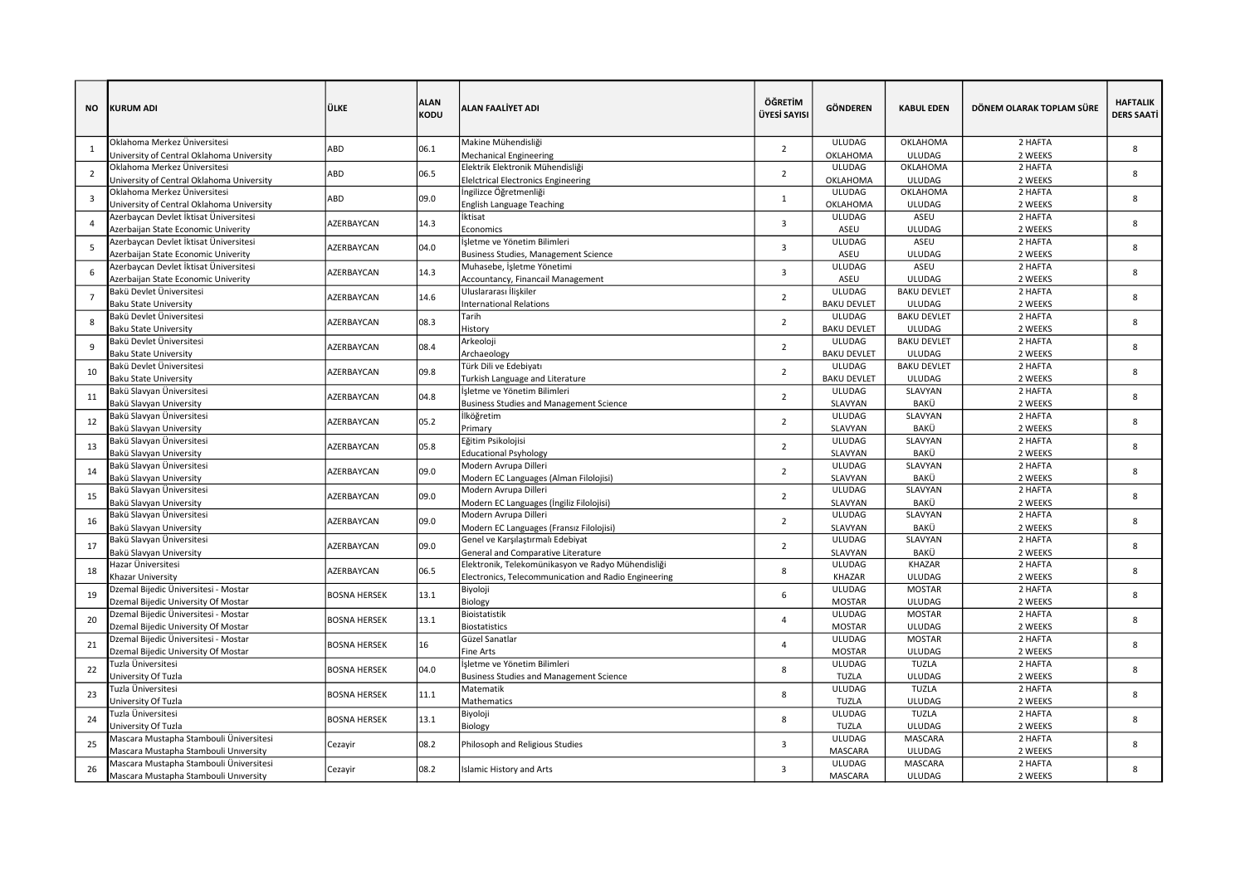| NO             | KURUM ADI                                                                     | ÜLKE                      | <b>ALAN</b><br>KODU                                                                         | <b>ALAN FAALIYET ADI</b>                                                      | ÖĞRETİM<br>ÜYESİ SAYISI                              | <b>GÖNDEREN</b>          | <b>KABUL EDEN</b>     | DÖNEM OLARAK TOPLAM SÜRE | <b>HAFTALIK</b><br><b>DERS SAATİ</b> |   |
|----------------|-------------------------------------------------------------------------------|---------------------------|---------------------------------------------------------------------------------------------|-------------------------------------------------------------------------------|------------------------------------------------------|--------------------------|-----------------------|--------------------------|--------------------------------------|---|
|                | Oklahoma Merkez Üniversitesi                                                  | ABD                       | 06.1                                                                                        | Makine Mühendisliği                                                           | $\overline{2}$                                       | <b>ULUDAG</b>            | OKLAHOMA              | 2 HAFTA                  | 8                                    |   |
|                | University of Central Oklahoma University                                     |                           |                                                                                             | <b>Mechanical Engineering</b>                                                 |                                                      | OKLAHOMA                 | <b>ULUDAG</b>         | 2 WEEKS                  |                                      |   |
| $\overline{2}$ | Oklahoma Merkez Üniversitesi                                                  | ABD                       | 06.5                                                                                        | Elektrik Elektronik Mühendisliği                                              | $\overline{2}$                                       | ULUDAG                   | OKLAHOMA              | 2 HAFTA                  | 8                                    |   |
|                | University of Central Oklahoma University                                     |                           |                                                                                             | <b>Eleictrical Electronics Engineering</b>                                    |                                                      | OKLAHOMA                 | <b>ULUDAG</b>         | 2 WEEKS                  |                                      |   |
| $\overline{3}$ | Oklahoma Merkez Üniversitesi                                                  | ABD                       | 09.0                                                                                        | İngilizce Öğretmenliği                                                        | $\mathbf{1}$                                         | ULUDAG                   | OKLAHOMA              | 2 HAFTA                  | 8                                    |   |
|                | University of Central Oklahoma University                                     |                           |                                                                                             | <b>English Language Teaching</b>                                              |                                                      | OKLAHOMA                 | <b>ULUDAG</b>         | 2 WEEKS                  |                                      |   |
|                | Azerbaycan Devlet İktisat Üniversitesi                                        | AZERBAYCAN                | 14.3                                                                                        | İktisat                                                                       | 3                                                    | ULUDAG                   | ASEU                  | 2 HAFTA                  | 8                                    |   |
|                | Azerbaijan State Economic Univerity                                           |                           |                                                                                             | Economics                                                                     |                                                      | ASEU<br><b>ULUDAG</b>    | <b>ULUDAG</b><br>ASEU | 2 WEEKS<br>2 HAFTA       |                                      |   |
| 5              | Azerbaycan Devlet İktisat Üniversitesi<br>Azerbaijan State Economic Univerity | AZERBAYCAN                | 04.0                                                                                        | İşletme ve Yönetim Bilimleri<br>Business Studies, Management Science          | 3                                                    | ASEU                     | <b>ULUDAG</b>         | 2 WEEKS                  | 8                                    |   |
|                | Azerbaycan Devlet İktisat Üniversitesi                                        |                           |                                                                                             | Muhasebe, İşletme Yönetimi                                                    |                                                      | ULUDAG                   | ASEU                  | 2 HAFTA                  |                                      |   |
|                | Azerbaijan State Economic Univerity                                           | <b>AZERBAYCAN</b>         | 14.3                                                                                        | Accountancy, Financail Management                                             | 3                                                    | ASEU                     | <b>ULUDAG</b>         | 2 WEEKS                  | 8                                    |   |
|                | Bakü Devlet Üniversitesi                                                      |                           |                                                                                             | Uluslararası İlişkiler                                                        |                                                      | ULUDAG                   | <b>BAKU DEVLET</b>    | 2 HAFTA                  |                                      |   |
|                | <b>Baku State University</b>                                                  | <b>AZERBAYCAN</b>         | 14.6                                                                                        | <b>International Relations</b>                                                | $\overline{2}$                                       | <b>BAKU DEVLET</b>       | <b>ULUDAG</b>         | 2 WEEKS                  | 8                                    |   |
|                | Bakü Devlet Üniversitesi                                                      |                           |                                                                                             | Tarih                                                                         |                                                      | ULUDAG                   | <b>BAKU DEVLET</b>    | 2 HAFTA                  |                                      |   |
| 8              | <b>Baku State University</b>                                                  | AZERBAYCAN                | 08.3                                                                                        | History                                                                       | $\overline{2}$                                       | <b>BAKU DEVLET</b>       | <b>ULUDAG</b>         | 2 WEEKS                  | 8                                    |   |
|                | Bakü Devlet Üniversitesi                                                      |                           |                                                                                             | Arkeoloji                                                                     |                                                      | <b>ULUDAG</b>            | <b>BAKU DEVLET</b>    | 2 HAFTA                  | 8                                    |   |
| 9              | <b>Baku State University</b>                                                  | <b>AZERBAYCAN</b>         | 08.4                                                                                        | Archaeology                                                                   | $\overline{2}$                                       | <b>BAKU DEVLET</b>       | <b>ULUDAG</b>         | 2 WEEKS                  |                                      |   |
|                | Bakü Devlet Üniversitesi                                                      |                           |                                                                                             | Türk Dili ve Edebiyatı                                                        |                                                      | ULUDAG                   | <b>BAKU DEVLET</b>    | 2 HAFTA                  | 8                                    |   |
| 10             | <b>Baku State University</b>                                                  |                           | 09.8<br><b>AZERBAYCAN</b><br>04.8<br><b>AZERBAYCAN</b><br>05.2<br><b>AZERBAYCAN</b><br>05.8 | Turkish Language and Literature                                               | $\overline{2}$<br>$\overline{2}$                     | <b>BAKU DEVLET</b>       | <b>ULUDAG</b>         | 2 WEEKS                  | 8<br>8                               |   |
| 11             | Bakü Slavyan Üniversitesi                                                     |                           |                                                                                             | İşletme ve Yönetim Bilimleri                                                  |                                                      | ULUDAG                   | SLAVYAN               | 2 HAFTA                  |                                      |   |
|                | Bakü Slavyan University                                                       |                           |                                                                                             | <b>Business Studies and Management Science</b>                                |                                                      | SLAVYAN                  | BAKÜ                  | 2 WEEKS                  |                                      |   |
| 12             | Bakü Slavyan Üniversitesi                                                     |                           |                                                                                             | İlköğretim                                                                    | $\overline{2}$                                       | <b>ULUDAG</b>            | SLAVYAN               | 2 HAFTA                  |                                      |   |
|                | Bakü Slavyan University                                                       |                           |                                                                                             | Primary                                                                       |                                                      | SLAVYAN                  | BAKÜ                  | 2 WEEKS                  |                                      |   |
| 13             | Bakü Slavyan Üniversitesi                                                     | AZERBAYCAN                |                                                                                             | Eğitim Psikolojisi                                                            | $\overline{2}$                                       | ULUDAG                   | SLAVYAN               | 2 HAFTA                  | 8                                    |   |
|                | Bakü Slavyan University                                                       |                           |                                                                                             | <b>Educational Psyhology</b>                                                  |                                                      | SLAVYAN                  | BAKÜ                  | 2 WEEKS                  |                                      |   |
| 14             | Bakü Slavyan Üniversitesi                                                     | <b>AZERBAYCAN</b>         | 09.0                                                                                        | Modern Avrupa Dilleri                                                         | $\overline{2}$                                       | ULUDAG                   | SLAVYAN               | 2 HAFTA                  | 8                                    |   |
|                | Bakü Slavyan University                                                       |                           |                                                                                             | Modern EC Languages (Alman Filolojisi)                                        |                                                      | SLAVYAN                  | BAKÜ                  | 2 WEEKS                  |                                      |   |
| 15             | Bakü Slavyan Üniversitesi                                                     | <b>AZERBAYCAN</b>         | 09.0                                                                                        | Modern Avrupa Dilleri                                                         | $\overline{2}$                                       | <b>ULUDAG</b>            | SLAVYAN               | 2 HAFTA                  | 8                                    |   |
|                | Bakü Slavyan University                                                       |                           |                                                                                             | Modern EC Languages (İngiliz Filolojisi)                                      |                                                      | SLAVYAN                  | BAKÜ                  | 2 WEEKS                  |                                      |   |
| 16             | 3akü Slavyan Üniversitesi                                                     | 09.0<br><b>AZERBAYCAN</b> |                                                                                             | Modern Avrupa Dilleri                                                         | $\overline{2}$                                       | <b>ULUDAG</b><br>SLAVYAN | SLAVYAN<br>BAKÜ       | 2 HAFTA                  | 8                                    |   |
|                | Bakü Slavyan University<br>Bakü Slavyan Üniversitesi                          |                           |                                                                                             | Modern EC Languages (Fransız Filolojisi)<br>Genel ve Karşılaştırmalı Edebiyat |                                                      | <b>ULUDAG</b>            | SLAVYAN               | 2 WEEKS<br>2 HAFTA       |                                      |   |
| 17             | Bakü Slavyan University                                                       | <b>AZERBAYCAN</b>         | 09.0                                                                                        | General and Comparative Literature                                            | $\overline{2}$                                       | SLAVYAN                  | BAKÜ                  | 2 WEEKS                  | 8                                    |   |
|                | Hazar Üniversitesi                                                            |                           |                                                                                             | Elektronik, Telekomünikasyon ve Radyo Mühendisliği                            |                                                      | ULUDAG                   | KHAZAR                | 2 HAFTA                  |                                      |   |
| 18             | Khazar University                                                             |                           | <b>AZERBAYCAN</b>                                                                           | 06.5                                                                          | Electronics, Telecommunication and Radio Engineering | 8                        | <b>KHAZAR</b>         | <b>ULUDAG</b>            | 2 WEEKS                              | 8 |
|                | Dzemal Bijedic Üniversitesi - Mostar                                          |                           |                                                                                             | Biyoloji                                                                      |                                                      | <b>ULUDAG</b>            | <b>MOSTAR</b>         | 2 HAFTA                  |                                      |   |
| 19             | Dzemal Bijedic University Of Mostar                                           | <b>BOSNA HERSEK</b>       | 13.1                                                                                        | Biology                                                                       | 6                                                    | <b>MOSTAR</b>            | <b>ULUDAG</b>         | 2 WEEKS                  | 8                                    |   |
|                | Dzemal Bijedic Üniversitesi - Mostar                                          |                           |                                                                                             | Bioistatistik                                                                 |                                                      | ULUDAG                   | <b>MOSTAR</b>         | 2 HAFTA                  |                                      |   |
| 20             | Dzemal Bijedic University Of Mostar                                           | <b>BOSNA HERSEK</b>       | 13.1                                                                                        | <b>Biostatistics</b>                                                          | $\overline{4}$                                       | <b>MOSTAR</b>            | <b>ULUDAG</b>         | 2 WEEKS                  | 8                                    |   |
| 21             | Dzemal Bijedic Üniversitesi - Mostar                                          |                           |                                                                                             | Güzel Sanatlar                                                                | 4                                                    | <b>ULUDAG</b>            | <b>MOSTAR</b>         | 2 HAFTA                  |                                      |   |
|                | Dzemal Bijedic University Of Mostar                                           | <b>BOSNA HERSEK</b>       | 16                                                                                          | Fine Arts                                                                     |                                                      | <b>MOSTAR</b>            | <b>ULUDAG</b>         | 2 WEEKS                  | 8                                    |   |
| 22             | Tuzla Üniversitesi                                                            | <b>BOSNA HERSEK</b>       | İşletme ve Yönetim Bilimleri<br>04.0                                                        | 8                                                                             | <b>ULUDAG</b>                                        | TUZLA                    | 2 HAFTA               | 8                        |                                      |   |
|                | University Of Tuzla                                                           |                           |                                                                                             | <b>Business Studies and Management Science</b>                                |                                                      | <b>TUZLA</b>             | <b>ULUDAG</b>         | 2 WEEKS                  |                                      |   |
| 23             | Tuzla Üniversitesi                                                            | <b>BOSNA HERSEK</b>       | 11.1                                                                                        | Matematik                                                                     | 8                                                    | <b>ULUDAG</b>            | <b>TUZLA</b>          | 2 HAFTA                  | 8                                    |   |
|                | University Of Tuzla                                                           |                           |                                                                                             | Mathematics                                                                   |                                                      | <b>TUZLA</b>             | <b>ULUDAG</b>         | 2 WEEKS                  |                                      |   |
| 24             | Tuzla Üniversitesi                                                            | BOSNA HERSEK              | 13.1                                                                                        | Biyoloji                                                                      | 8                                                    | <b>ULUDAG</b>            | TUZLA                 | 2 HAFTA                  | 8                                    |   |
|                | Jniversity Of Tuzla                                                           |                           |                                                                                             | Biology                                                                       |                                                      | <b>TUZLA</b>             | <b>ULUDAG</b>         | 2 WEEKS                  |                                      |   |
| 25             | Mascara Mustapha Stambouli Üniversitesi                                       | Cezayir                   | 08.2                                                                                        | Philosoph and Religious Studies                                               | 3                                                    | <b>ULUDAG</b>            | MASCARA               | 2 HAFTA                  | 8                                    |   |
|                | Mascara Mustapha Stambouli University                                         |                           |                                                                                             |                                                                               |                                                      | MASCARA                  | <b>ULUDAG</b>         | 2 WEEKS                  |                                      |   |
| 26             | Mascara Mustapha Stambouli Üniversitesi                                       | Cezayir                   | 08.2                                                                                        | <b>Islamic History and Arts</b>                                               | 3                                                    | <b>ULUDAG</b>            | MASCARA               | 2 HAFTA                  | 8                                    |   |
|                | Mascara Mustapha Stambouli University                                         |                           |                                                                                             |                                                                               |                                                      | MASCARA                  | <b>ULUDAG</b>         | 2 WEEKS                  |                                      |   |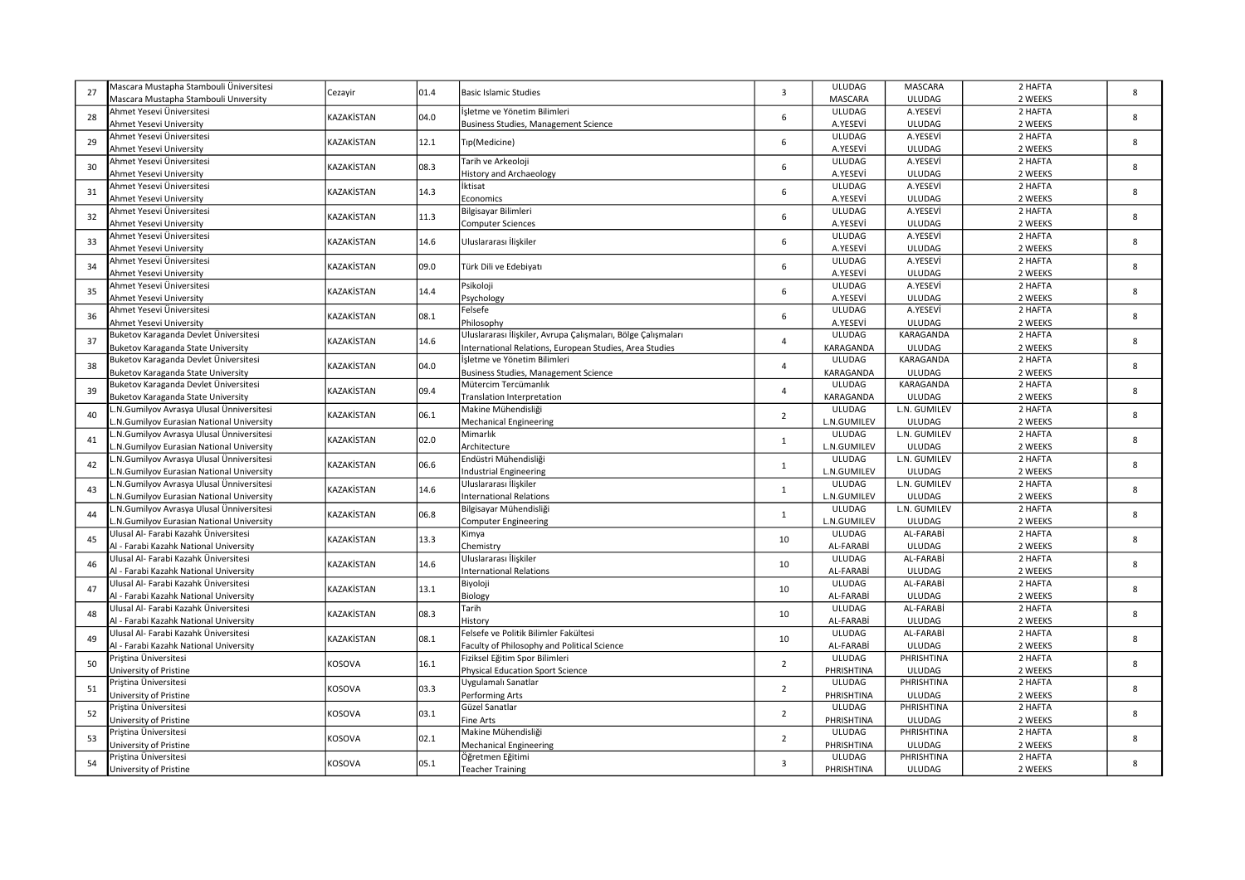| 27 | Mascara Mustapha Stambouli Üniversitesi<br>Mascara Mustapha Stambouli University | Cezayir          | 01.4                                                | <b>Basic Islamic Studies</b>                                                | 3                             | <b>ULUDAG</b><br>MASCARA     | MASCARA<br><b>ULUDAG</b>   | 2 HAFTA<br>2 WEEKS | 8       |  |  |  |  |  |  |      |                                |    |           |               |         |   |
|----|----------------------------------------------------------------------------------|------------------|-----------------------------------------------------|-----------------------------------------------------------------------------|-------------------------------|------------------------------|----------------------------|--------------------|---------|--|--|--|--|--|--|------|--------------------------------|----|-----------|---------------|---------|---|
| 28 | Ahmet Yesevi Üniversitesi<br>Ahmet Yesevi University                             | KAZAKİSTAN       | 04.0                                                | İşletme ve Yönetim Bilimleri<br><b>Business Studies, Management Science</b> | 6                             | <b>ULUDAG</b><br>A.YESEVİ    | A.YESEVİ<br>ULUDAG         | 2 HAFTA<br>2 WEEKS | 8       |  |  |  |  |  |  |      |                                |    |           |               |         |   |
|    | Ahmet Yesevi Üniversitesi                                                        |                  |                                                     |                                                                             |                               | <b>ULUDAG</b>                | A.YESEVİ                   | 2 HAFTA            |         |  |  |  |  |  |  |      |                                |    |           |               |         |   |
| 29 | Ahmet Yesevi University                                                          | KAZAKİSTAN       | 12.1                                                | Tip(Medicine)                                                               | 6                             | A.YESEVİ                     | <b>ULUDAG</b>              | 2 WEEKS            | 8       |  |  |  |  |  |  |      |                                |    |           |               |         |   |
|    | Ahmet Yesevi Üniversitesi                                                        | KAZAKİSTAN       |                                                     | Tarih ve Arkeoloji                                                          |                               | <b>ULUDAG</b>                | A.YESEVİ                   | 2 HAFTA            |         |  |  |  |  |  |  |      |                                |    |           |               |         |   |
| 30 | Ahmet Yesevi University                                                          |                  | 08.3                                                | <b>History and Archaeology</b>                                              | 6                             | A.YESEVİ                     | <b>ULUDAG</b>              | 2 WEEKS            | 8       |  |  |  |  |  |  |      |                                |    |           |               |         |   |
| 31 | Ahmet Yesevi Üniversitesi                                                        | <b>AZAKİSTAN</b> | 14.3                                                | İktisat                                                                     | 6                             | <b>ULUDAG</b>                | A.YESEVİ                   | 2 HAFTA            | 8       |  |  |  |  |  |  |      |                                |    |           |               |         |   |
|    | Ahmet Yesevi University                                                          |                  |                                                     | Economics                                                                   |                               | A.YESEVİ                     | ULUDAG                     | 2 WEEKS            |         |  |  |  |  |  |  |      |                                |    |           |               |         |   |
| 32 | Ahmet Yesevi Üniversitesi                                                        | KAZAKİSTAN       | 11.3                                                | Bilgisayar Bilimleri                                                        | 6                             | <b>ULUDAG</b>                | A.YESEVİ                   | 2 HAFTA            | 8       |  |  |  |  |  |  |      |                                |    |           |               |         |   |
|    | Ahmet Yesevi University                                                          |                  |                                                     | <b>Computer Sciences</b>                                                    |                               | A.YESEVİ                     | <b>ULUDAG</b>              | 2 WEEKS            |         |  |  |  |  |  |  |      |                                |    |           |               |         |   |
| 33 | Ahmet Yesevi Üniversitesi                                                        | KAZAKİSTAN       | 14.6                                                | Uluslararası İlişkiler                                                      | 6                             | ULUDAG                       | A.YESEVİ                   | 2 HAFTA            | 8       |  |  |  |  |  |  |      |                                |    |           |               |         |   |
|    | Ahmet Yesevi University                                                          |                  |                                                     |                                                                             |                               | A.YESEVİ                     | <b>ULUDAG</b>              | 2 WEEKS            |         |  |  |  |  |  |  |      |                                |    |           |               |         |   |
| 34 | Ahmet Yesevi Üniversitesi                                                        | KAZAKİSTAN       | 09.0                                                | Türk Dili ve Edebiyatı                                                      | 6                             | ULUDAG                       | A.YESEVİ                   | 2 HAFTA            | 8       |  |  |  |  |  |  |      |                                |    |           |               |         |   |
|    | Ahmet Yesevi University                                                          |                  |                                                     |                                                                             |                               | A.YESEVİ                     | ULUDAG                     | 2 WEEKS            |         |  |  |  |  |  |  |      |                                |    |           |               |         |   |
| 35 | Ahmet Yesevi Üniversitesi                                                        | KAZAKİSTAN       | 14.4                                                | Psikoloji                                                                   | 6                             | <b>ULUDAG</b>                | A.YESEVİ<br><b>ULUDAG</b>  | 2 HAFTA<br>2 WEEKS | 8       |  |  |  |  |  |  |      |                                |    |           |               |         |   |
|    | Ahmet Yesevi University<br>Ahmet Yesevi Üniversitesi                             |                  |                                                     | Psychology<br>Felsefe                                                       |                               | A.YESEVİ<br><b>ULUDAG</b>    | A.YESEVİ                   | 2 HAFTA            |         |  |  |  |  |  |  |      |                                |    |           |               |         |   |
| 36 | Ahmet Yesevi University                                                          | KAZAKİSTAN       | 08.1                                                | Philosophy                                                                  | 6                             | A.YESEVİ                     | <b>ULUDAG</b>              | 2 WEEKS            | 8       |  |  |  |  |  |  |      |                                |    |           |               |         |   |
|    | Buketov Karaganda Devlet Üniversitesi                                            |                  |                                                     | Uluslararası İlişkiler, Avrupa Çalışmaları, Bölge Çalışmaları               |                               | ULUDAG                       | KARAGANDA                  | 2 HAFTA            |         |  |  |  |  |  |  |      |                                |    |           |               |         |   |
| 37 | Buketov Karaganda State University                                               | KAZAKİSTAN       | 14.6                                                | International Relations, European Studies, Area Studies                     | 4                             | KARAGANDA                    | ULUDAG                     | 2 WEEKS            | 8<br>8  |  |  |  |  |  |  |      |                                |    |           |               |         |   |
|    | Buketov Karaganda Devlet Üniversitesi                                            |                  |                                                     | İsletme ve Yönetim Bilimleri                                                |                               | <b>ULUDAG</b>                | KARAGANDA                  | 2 HAFTA            |         |  |  |  |  |  |  |      |                                |    |           |               |         |   |
| 38 | Buketov Karaganda State University                                               | KAZAKİSTAN       | 04.0                                                | Business Studies, Management Science                                        | $\overline{4}$                | KARAGANDA                    | <b>ULUDAG</b>              | 2 WEEKS            |         |  |  |  |  |  |  |      |                                |    |           |               |         |   |
|    | Buketov Karaganda Devlet Üniversitesi                                            |                  |                                                     | Mütercim Tercümanlık                                                        |                               | ULUDAG                       | KARAGANDA                  | 2 HAFTA            | 8<br>8  |  |  |  |  |  |  |      |                                |    |           |               |         |   |
| 39 | Buketov Karaganda State University                                               | KAZAKİSTAN       | 09.4                                                | Translation Interpretation                                                  | $\overline{4}$                | KARAGANDA                    | <b>ULUDAG</b>              | 2 WEEKS            |         |  |  |  |  |  |  |      |                                |    |           |               |         |   |
| 40 | .N.Gumilyov Avrasya Ulusal Ünniversitesi                                         |                  |                                                     | Makine Mühendisliği                                                         |                               | ULUDAG                       | L.N. GUMILEV               | 2 HAFTA            |         |  |  |  |  |  |  |      |                                |    |           |               |         |   |
|    | .N.Gumilyov Eurasian National University                                         | KAZAKİSTAN       | 06.1                                                | <b>Mechanical Engineering</b>                                               | $\overline{2}$                | L.N.GUMILEV                  | ULUDAG                     | 2 WEEKS            |         |  |  |  |  |  |  |      |                                |    |           |               |         |   |
| 41 | N.Gumilyov Avrasya Ulusal Ünniversitesi                                          | KAZAKİSTAN       | 02.0                                                | Mimarlık                                                                    | $\mathbf{1}$                  | ULUDAG                       | L.N. GUMILEV               | 2 HAFTA            | 8<br>8  |  |  |  |  |  |  |      |                                |    |           |               |         |   |
|    | N.Gumilyov Eurasian National University                                          |                  |                                                     | Architecture                                                                |                               | L.N.GUMILEV                  | <b>ULUDAG</b>              | 2 WEEKS            |         |  |  |  |  |  |  |      |                                |    |           |               |         |   |
| 42 | N.Gumilyov Avrasya Ulusal Ünniversitesi                                          | KAZAKİSTAN       | 06.6                                                | Endüstri Mühendisliği                                                       | $\mathbf{1}$                  | ULUDAG                       | L.N. GUMILEV               | 2 HAFTA            |         |  |  |  |  |  |  |      |                                |    |           |               |         |   |
|    | .N.Gumilyov Eurasian National University                                         |                  |                                                     | <b>Industrial Engineering</b>                                               |                               | L.N.GUMILEV                  | ULUDAG                     | 2 WEEKS            |         |  |  |  |  |  |  |      |                                |    |           |               |         |   |
| 43 | .N.Gumilyov Avrasya Ulusal Ünniversitesi                                         | KAZAKİSTAN       | 14.6                                                | Uluslararası İlişkiler                                                      | $\mathbf{1}$                  | ULUDAG                       | L.N. GUMILEV               | 2 HAFTA            | 8       |  |  |  |  |  |  |      |                                |    |           |               |         |   |
|    | N.Gumilyov Eurasian National University                                          |                  |                                                     | <b>International Relations</b>                                              |                               | L.N.GUMILEV                  | <b>ULUDAG</b>              | 2 WEEKS            |         |  |  |  |  |  |  |      |                                |    |           |               |         |   |
| 44 | .N.Gumilyov Avrasya Ulusal Ünniversitesi                                         | KAZAKİSTAN       | 06.8                                                | Bilgisayar Mühendisliği                                                     | $\mathbf{1}$                  | ULUDAG                       | L.N. GUMILEV               | 2 HAFTA            | 8       |  |  |  |  |  |  |      |                                |    |           |               |         |   |
|    | N.Gumilyov Eurasian National University<br>Ulusal Al- Farabi Kazahk Üniversitesi |                  |                                                     | <b>Computer Engineering</b>                                                 |                               | L.N.GUMILEV<br><b>ULUDAG</b> | <b>ULUDAG</b><br>AL-FARABİ | 2 WEEKS<br>2 HAFTA |         |  |  |  |  |  |  |      |                                |    |           |               |         |   |
| 45 | Al - Farabi Kazahk National University                                           | KAZAKİSTAN       | 13.3                                                | Kimya<br>Chemistry                                                          | 10                            | AL-FARABİ                    | ULUDAG                     | 2 WEEKS            | 8       |  |  |  |  |  |  |      |                                |    |           |               |         |   |
|    | Ulusal Al- Farabi Kazahk Üniversitesi                                            |                  |                                                     | Uluslararası İlişkiler                                                      |                               | <b>ULUDAG</b>                | AL-FARABİ                  | 2 HAFTA            |         |  |  |  |  |  |  |      |                                |    |           |               |         |   |
| 46 | Al - Farabi Kazahk National University                                           | KAZAKİSTAN       |                                                     |                                                                             |                               |                              |                            |                    |         |  |  |  |  |  |  | 14.6 | <b>International Relations</b> | 10 | AL-FARABİ | <b>ULUDAG</b> | 2 WEEKS | 8 |
|    | Ulusal Al- Farabi Kazahk Üniversitesi                                            |                  |                                                     | Biyoloji                                                                    |                               | ULUDAG                       | AL-FARABİ                  | 2 HAFTA            |         |  |  |  |  |  |  |      |                                |    |           |               |         |   |
| 47 | Al - Farabi Kazahk National University                                           | KAZAKİSTAN       | 13.1                                                | Biology                                                                     | 10                            | AL-FARABİ                    | <b>ULUDAG</b>              | 2 WEEKS            | 8       |  |  |  |  |  |  |      |                                |    |           |               |         |   |
|    | Ulusal Al- Farabi Kazahk Üniversitesi                                            |                  | Tarih                                               |                                                                             | <b>ULUDAG</b>                 | AL-FARABİ                    | 2 HAFTA                    |                    |         |  |  |  |  |  |  |      |                                |    |           |               |         |   |
| 48 | Al - Farabi Kazahk National University                                           | KAZAKİSTAN       | 08.3                                                | History                                                                     | 10                            | AL-FARABİ                    | ULUDAG                     | 2 WEEKS            | 8       |  |  |  |  |  |  |      |                                |    |           |               |         |   |
| 49 | Ulusal Al- Farabi Kazahk Üniversitesi                                            | KAZAKİSTAN       |                                                     | Felsefe ve Politik Bilimler Fakültesi                                       | 10                            | ULUDAG                       | AL-FARABİ                  | 2 HAFTA            | 8       |  |  |  |  |  |  |      |                                |    |           |               |         |   |
|    | Al - Farabi Kazahk National University                                           |                  | 08.1<br>Faculty of Philosophy and Political Science |                                                                             | AL-FARABİ                     | ULUDAG                       | 2 WEEKS                    |                    |         |  |  |  |  |  |  |      |                                |    |           |               |         |   |
| 50 | Priștina Üniversitesi                                                            | KOSOVA           | 16.1                                                | Fiziksel Eğitim Spor Bilimleri                                              | $\overline{2}$                | ULUDAG                       | PHRISHTINA                 | 2 HAFTA            | 8       |  |  |  |  |  |  |      |                                |    |           |               |         |   |
|    | University of Pristine                                                           |                  |                                                     | <b>Physical Education Sport Science</b>                                     |                               | PHRISHTINA                   | <b>ULUDAG</b>              | 2 WEEKS            |         |  |  |  |  |  |  |      |                                |    |           |               |         |   |
| 51 | Priștina Üniversitesi                                                            | KOSOVA           | 03.3                                                | Uygulamalı Sanatlar                                                         | $\overline{2}$                | <b>ULUDAG</b>                | PHRISHTINA                 | 2 HAFTA            | 8       |  |  |  |  |  |  |      |                                |    |           |               |         |   |
|    | Jniversity of Pristine                                                           |                  |                                                     | Performing Arts                                                             |                               | PHRISHTINA                   | ULUDAG                     | 2 WEEKS            |         |  |  |  |  |  |  |      |                                |    |           |               |         |   |
| 52 | ristina Üniversitesi?                                                            | 03.1<br>KOSOVA   |                                                     | Güzel Sanatlar                                                              | $\overline{2}$                | <b>ULUDAG</b>                | PHRISHTINA                 | 2 HAFTA            | 8       |  |  |  |  |  |  |      |                                |    |           |               |         |   |
|    | University of Pristine                                                           |                  |                                                     | Fine Arts                                                                   |                               | PHRISHTINA                   | ULUDAG                     | 2 WEEKS            |         |  |  |  |  |  |  |      |                                |    |           |               |         |   |
| 53 | Pristina Üniversitesi                                                            | KOSOVA           | 02.1                                                | Makine Mühendisliği                                                         | $\overline{2}$                | ULUDAG                       | PHRISHTINA                 | 2 HAFTA            | 8       |  |  |  |  |  |  |      |                                |    |           |               |         |   |
|    | University of Pristine                                                           |                  |                                                     |                                                                             | <b>Mechanical Engineering</b> |                              | PHRISHTINA                 | ULUDAG             | 2 WEEKS |  |  |  |  |  |  |      |                                |    |           |               |         |   |
| 54 | Priștina Üniversitesi<br>University of Pristine                                  | KOSOVA           | 05.1                                                | Öğretmen Eğitimi<br><b>Teacher Training</b>                                 | $\overline{3}$                | <b>ULUDAG</b><br>PHRISHTINA  | PHRISHTINA<br>ULUDAG       | 2 HAFTA<br>2 WEEKS | 8       |  |  |  |  |  |  |      |                                |    |           |               |         |   |
|    |                                                                                  |                  |                                                     |                                                                             |                               |                              |                            |                    |         |  |  |  |  |  |  |      |                                |    |           |               |         |   |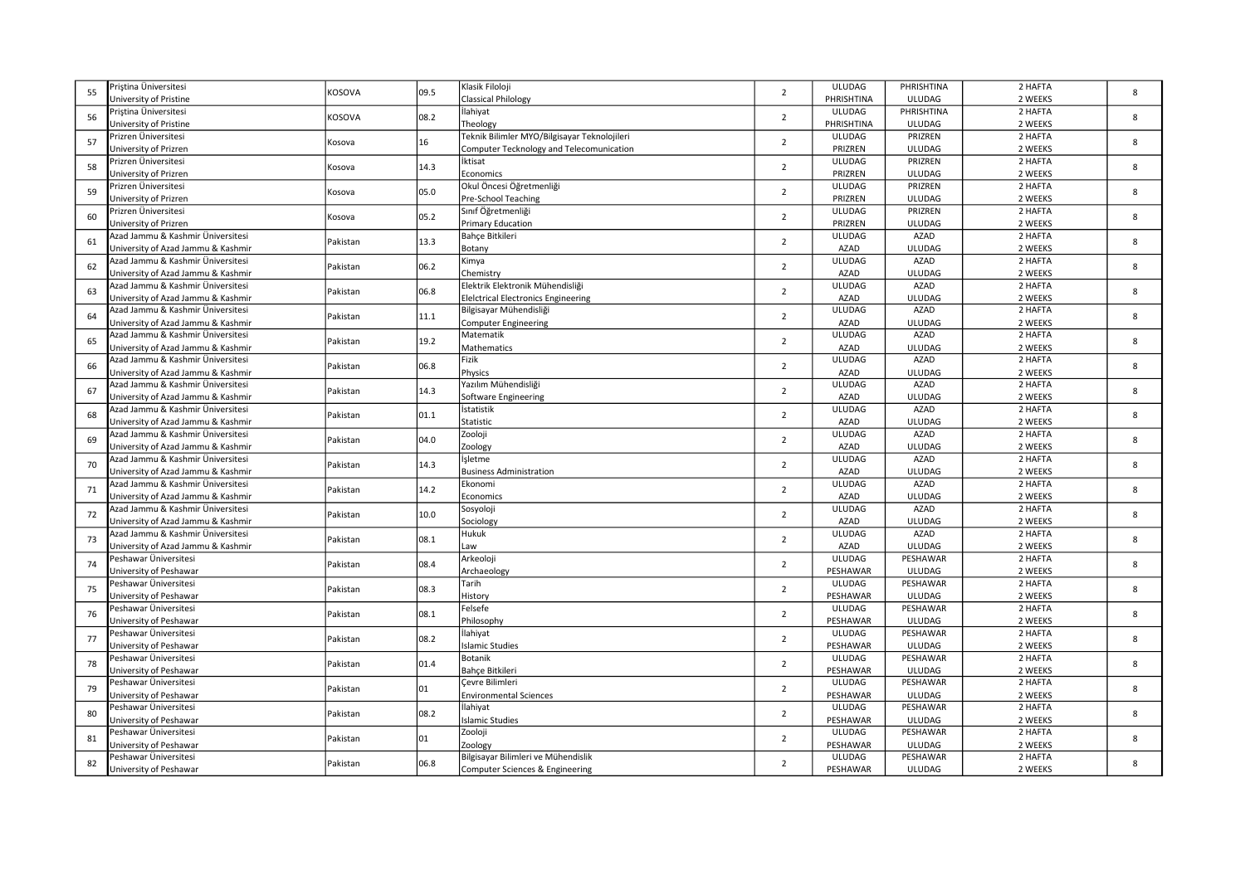|    | Priștina Üniversitesi                                                   |          |      | Klasik Filoloji                              |                | ULUDAG        | PHRISHTINA    | 2 HAFTA |   |
|----|-------------------------------------------------------------------------|----------|------|----------------------------------------------|----------------|---------------|---------------|---------|---|
| 55 | University of Pristine                                                  | KOSOVA   | 09.5 | <b>Classical Philology</b>                   | $\overline{2}$ | PHRISHTINA    | ULUDAG        | 2 WEEKS | 8 |
|    | Pristina Üniversitesi                                                   |          |      | İlahiyat                                     |                | ULUDAG        | PHRISHTINA    | 2 HAFTA |   |
| 56 | University of Pristine                                                  | KOSOVA   | 08.2 | Theology                                     | $\overline{2}$ | PHRISHTINA    | ULUDAG        | 2 WEEKS | 8 |
|    | Prizren Üniversitesi                                                    |          |      | Teknik Bilimler MYO/Bilgisayar Teknolojileri |                | <b>ULUDAG</b> | PRIZREN       | 2 HAFTA |   |
| 57 | University of Prizren                                                   | Kosova   | 16   | Computer Tecknology and Telecomunication     | $\overline{2}$ | PRIZREN       | <b>ULUDAG</b> | 2 WEEKS | 8 |
|    | Prizren Üniversitesi                                                    |          |      | İktisat                                      |                | <b>ULUDAG</b> | PRIZREN       | 2 HAFTA |   |
| 58 | University of Prizren                                                   | Kosova   | 14.3 | Economics                                    | $\overline{2}$ | PRIZREN       | ULUDAG        | 2 WEEKS | 8 |
|    | ∙rizren Üniversitesi                                                    |          |      | Okul Öncesi Öğretmenliği                     |                | <b>ULUDAG</b> | PRIZREN       | 2 HAFTA |   |
| 59 | University of Prizren                                                   | Kosova   | 05.0 | Pre-School Teaching                          | $\overline{2}$ | PRIZREN       | <b>ULUDAG</b> | 2 WEEKS | 8 |
|    | Prizren Üniversitesi                                                    |          |      | Sınıf Öğretmenliği                           |                | <b>ULUDAG</b> | PRIZREN       | 2 HAFTA |   |
| 60 | University of Prizren                                                   | Kosova   | 05.2 | <b>Primary Education</b>                     | $\overline{2}$ | PRIZREN       | ULUDAG        | 2 WEEKS | 8 |
|    | Azad Jammu & Kashmir Üniversitesi                                       |          |      | Bahçe Bitkileri                              |                | <b>ULUDAG</b> | AZAD          | 2 HAFTA |   |
| 61 |                                                                         | Pakistan | 13.3 |                                              | $\overline{2}$ | AZAD          | ULUDAG        | 2 WEEKS | 8 |
|    | University of Azad Jammu & Kashmir<br>Azad Jammu & Kashmir Üniversitesi |          |      | Botany<br>Kimya                              |                | <b>ULUDAG</b> | AZAD          | 2 HAFTA |   |
| 62 |                                                                         | Pakistan | 06.2 | Chemistry                                    | $\overline{2}$ | AZAD          | <b>ULUDAG</b> | 2 WEEKS | 8 |
|    | University of Azad Jammu & Kashmir<br>Azad Jammu & Kashmir Üniversitesi |          |      | Elektrik Elektronik Mühendisliği             |                | <b>ULUDAG</b> | AZAD          | 2 HAFTA |   |
| 63 |                                                                         | Pakistan | 06.8 |                                              | $\overline{2}$ |               |               |         | 8 |
|    | University of Azad Jammu & Kashmir                                      |          |      | <b>Eleictrical Electronics Engineering</b>   |                | AZAD          | ULUDAG        | 2 WEEKS |   |
| 64 | Azad Jammu & Kashmir Üniversitesi                                       | Pakistan | 11.1 | Bilgisayar Mühendisliği                      | $\overline{2}$ | <b>ULUDAG</b> | AZAD          | 2 HAFTA | 8 |
|    | University of Azad Jammu & Kashmir                                      |          |      | <b>Computer Engineering</b>                  |                | AZAD          | ULUDAG        | 2 WEEKS |   |
| 65 | Azad Jammu & Kashmir Üniversitesi                                       | Pakistan | 19.2 | Matematik                                    | $\overline{2}$ | <b>ULUDAG</b> | AZAD          | 2 HAFTA | 8 |
|    | University of Azad Jammu & Kashmir                                      |          |      | Mathematics                                  |                | AZAD          | <b>ULUDAG</b> | 2 WEEKS |   |
| 66 | Azad Jammu & Kashmir Üniversitesi                                       | Pakistan | 06.8 | Fizik                                        | $\overline{2}$ | <b>ULUDAG</b> | AZAD          | 2 HAFTA | 8 |
|    | University of Azad Jammu & Kashmir                                      |          |      | Physics                                      |                | AZAD          | ULUDAG        | 2 WEEKS |   |
| 67 | Azad Jammu & Kashmir Üniversitesi                                       | Pakistan | 14.3 | Yazılım Mühendisliği                         | $\overline{2}$ | <b>ULUDAG</b> | AZAD          | 2 HAFTA | 8 |
|    | University of Azad Jammu & Kashmir                                      |          |      | Software Engineering                         |                | AZAD          | ULUDAG        | 2 WEEKS |   |
| 68 | Azad Jammu & Kashmir Üniversitesi                                       | Pakistan | 01.1 | İstatistik                                   | $\overline{2}$ | <b>ULUDAG</b> | AZAD          | 2 HAFTA | 8 |
|    | University of Azad Jammu & Kashmir                                      |          |      | Statistic                                    |                | AZAD          | <b>ULUDAG</b> | 2 WEEKS |   |
| 69 | Azad Jammu & Kashmir Üniversitesi                                       | Pakistan | 04.0 | Zooloji                                      | $\overline{2}$ | <b>ULUDAG</b> | AZAD          | 2 HAFTA | 8 |
|    | University of Azad Jammu & Kashmir                                      |          |      | Zoology                                      |                | AZAD          | ULUDAG        | 2 WEEKS |   |
| 70 | Azad Jammu & Kashmir Üniversitesi                                       | Pakistan | 14.3 | İşletme                                      | $\overline{2}$ | <b>ULUDAG</b> | AZAD          | 2 HAFTA | 8 |
|    | University of Azad Jammu & Kashmir                                      |          |      | <b>Business Administration</b>               |                | AZAD          | ULUDAG        | 2 WEEKS |   |
| 71 | Azad Jammu & Kashmir Üniversitesi                                       | Pakistan | 14.2 | Ekonomi                                      | $\overline{2}$ | <b>ULUDAG</b> | AZAD          | 2 HAFTA | 8 |
|    | University of Azad Jammu & Kashmir                                      |          |      | Economics                                    |                | AZAD          | <b>ULUDAG</b> | 2 WEEKS |   |
| 72 | Azad Jammu & Kashmir Üniversitesi                                       | Pakistan | 10.0 | Sosyoloji                                    | $\overline{2}$ | <b>ULUDAG</b> | AZAD          | 2 HAFTA | 8 |
|    | University of Azad Jammu & Kashmir                                      |          |      | Sociology                                    |                | AZAD          | ULUDAG        | 2 WEEKS |   |
| 73 | Azad Jammu & Kashmir Üniversitesi                                       | Pakistan | 08.1 | Hukuk                                        | $\overline{2}$ | <b>ULUDAG</b> | AZAD          | 2 HAFTA | 8 |
|    | University of Azad Jammu & Kashmir                                      |          |      | Law                                          |                | AZAD          | <b>ULUDAG</b> | 2 WEEKS |   |
| 74 | Peshawar Üniversitesi                                                   | Pakistan | 08.4 | Arkeoloji                                    | $\overline{2}$ | ULUDAG        | PESHAWAR      | 2 HAFTA | 8 |
|    | University of Peshawar                                                  |          |      | Archaeology                                  |                | PESHAWAR      | ULUDAG        | 2 WEEKS |   |
| 75 | Peshawar Üniversitesi                                                   | Pakistan | 08.3 | Tarih                                        | $\overline{2}$ | ULUDAG        | PESHAWAR      | 2 HAFTA | 8 |
|    | University of Peshawar                                                  |          |      | History                                      |                | PESHAWAR      | <b>ULUDAG</b> | 2 WEEKS |   |
| 76 | Peshawar Üniversitesi                                                   | Pakistan | 08.1 | Felsefe                                      | $\overline{2}$ | ULUDAG        | PESHAWAR      | 2 HAFTA | 8 |
|    | University of Peshawar                                                  |          |      | Philosophy                                   |                | PESHAWAR      | ULUDAG        | 2 WEEKS |   |
| 77 | Peshawar Üniversitesi                                                   | Pakistan | 08.2 | İlahiyat                                     | $\overline{2}$ | <b>ULUDAG</b> | PESHAWAR      | 2 HAFTA | 8 |
|    | University of Peshawar                                                  |          |      | <b>Islamic Studies</b>                       |                | PESHAWAR      | ULUDAG        | 2 WEEKS |   |
| 78 | Peshawar Üniversitesi                                                   | Pakistan | 01.4 | Botanik                                      | $\overline{2}$ | ULUDAG        | PESHAWAR      | 2 HAFTA | 8 |
|    | University of Peshawar                                                  |          |      | <b>Bahce Bitkileri</b>                       |                | PESHAWAR      | <b>ULUDAG</b> | 2 WEEKS |   |
|    | Peshawar Üniversitesi                                                   |          |      | Cevre Bilimleri                              |                | ULUDAG        | PESHAWAR      | 2 HAFTA | 8 |
| 79 | University of Peshawar                                                  | Pakistan | 01   | <b>Environmental Sciences</b>                | $\overline{2}$ | PESHAWAR      | ULUDAG        | 2 WEEKS |   |
|    | eshawar Üniversitesi?                                                   |          |      | İlahiyat                                     |                | ULUDAG        | PESHAWAR      | 2 HAFTA |   |
| 80 | Jniversity of Peshawar                                                  | Pakistan | 08.2 | <b>Islamic Studies</b>                       | $\overline{2}$ | PESHAWAR      | ULUDAG        | 2 WEEKS | 8 |
|    | Peshawar Üniversitesi                                                   |          |      | Zooloji                                      |                | ULUDAG        | PESHAWAR      | 2 HAFTA |   |
| 81 | Jniversity of Peshawar                                                  | Pakistan | 01   | Zoology                                      | $\overline{2}$ | PESHAWAR      | <b>ULUDAG</b> | 2 WEEKS | 8 |
|    | Peshawar Üniversitesi                                                   |          |      | Bilgisayar Bilimleri ve Mühendislik          |                | ULUDAG        | PESHAWAR      | 2 HAFTA |   |
| 82 | University of Peshawar                                                  | Pakistan | 06.8 | Computer Sciences & Engineering              | $\overline{2}$ | PESHAWAR      | ULUDAG        | 2 WEEKS | 8 |
|    |                                                                         |          |      |                                              |                |               |               |         |   |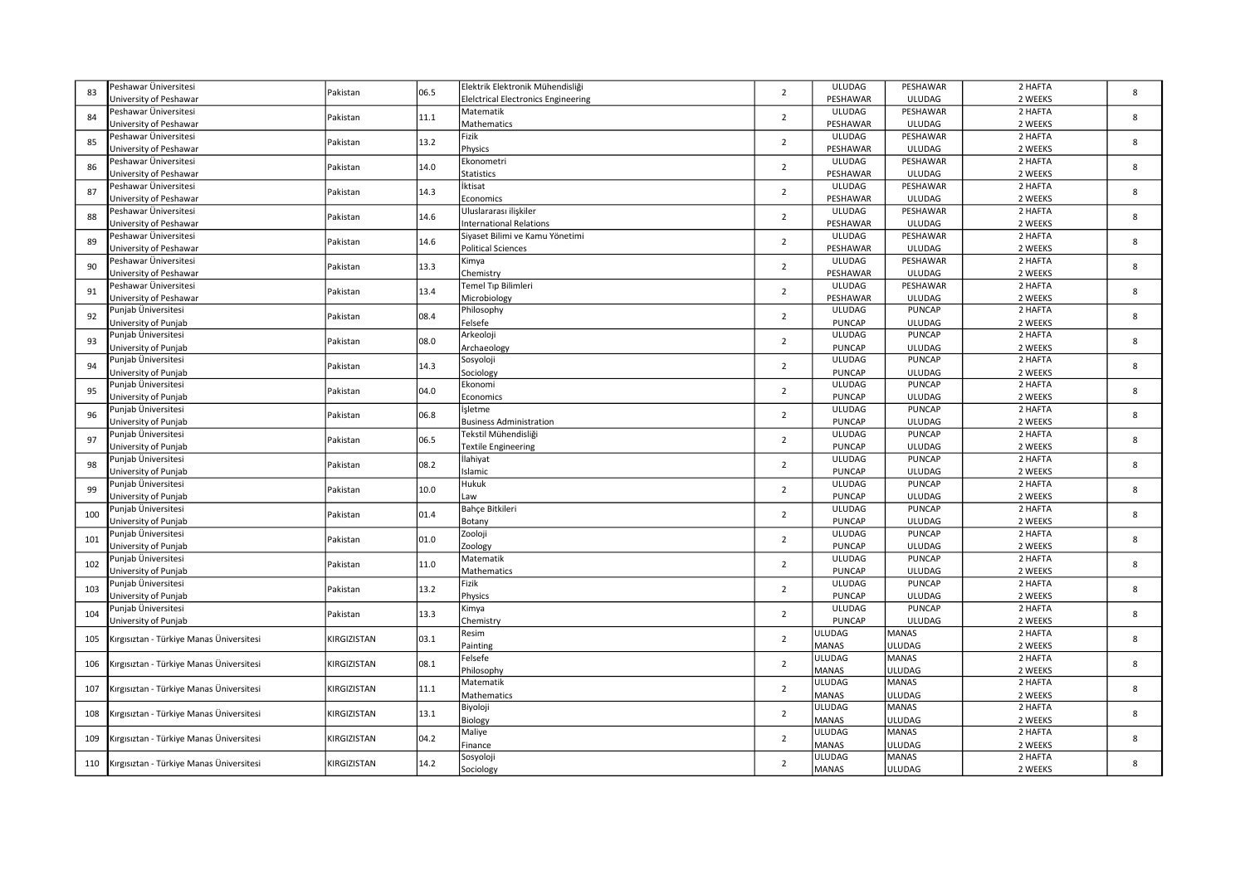| 2 HAFTA<br>Peshawar Üniversitesi<br>Elektrik Elektronik Mühendisliği<br><b>ULUDAG</b><br>PESHAWAR<br>Pakistan<br>$\overline{2}$<br>83<br>06.5<br>Jniversity of Peshawar<br>PESHAWAR<br><b>ULUDAG</b><br>2 WEEKS<br><b>Eleictrical Electronics Engineering</b><br>Peshawar Üniversitesi<br>ULUDAG<br>PESHAWAR<br>2 HAFTA<br>Matematik<br>84<br>Pakistan<br>11.1<br>$\overline{2}$<br>PESHAWAR<br><b>ULUDAG</b><br>2 WEEKS<br><b>Jniversity of Peshawar</b><br>Mathematics<br>Peshawar Üniversitesi<br>Fizik<br><b>ULUDAG</b><br>PESHAWAR<br>2 HAFTA<br>Pakistan<br>13.2<br>$\overline{2}$<br>85<br><b>ULUDAG</b><br>2 WEEKS<br>Jniversity of Peshawar<br>Physics<br>PESHAWAR<br>2 HAFTA<br>Peshawar Üniversitesi<br>Ekonometri<br><b>ULUDAG</b><br>PESHAWAR<br>14.0<br>Pakistan<br>$\overline{2}$<br>86<br>PESHAWAR<br><b>ULUDAG</b><br>2 WEEKS<br>Jniversity of Peshawar<br><b>Statistics</b><br><b>ULUDAG</b><br>PESHAWAR<br>2 HAFTA<br>Peshawar Üniversitesi<br>İktisat<br>87<br>Pakistan<br>14.3<br>$\overline{2}$<br>PESHAWAR<br>2 WEEKS<br><b>Jniversity of Peshawar</b><br>Economics<br><b>ULUDAG</b><br><b>ULUDAG</b><br>PESHAWAR<br>2 HAFTA<br>Peshawar Üniversitesi<br>Uluslararası ilişkiler<br>14.6<br>$\overline{2}$<br>88<br>Pakistan<br>Jniversity of Peshawar<br>PESHAWAR<br><b>ULUDAG</b><br>2 WEEKS<br><b>International Relations</b><br>Peshawar Üniversitesi<br><b>ULUDAG</b><br>PESHAWAR<br>2 HAFTA<br>Siyaset Bilimi ve Kamu Yönetimi<br>Pakistan<br>14.6<br>$\overline{2}$<br>89<br>Jniversity of Peshawar<br>PESHAWAR<br><b>ULUDAG</b><br>2 WEEKS<br><b>Political Sciences</b><br>ULUDAG<br>2 HAFTA<br>Peshawar Üniversitesi<br>PESHAWAR<br>Kimya<br>13.3<br>90<br>Pakistan<br>$\overline{2}$<br>PESHAWAR<br>2 WEEKS<br><b>Jniversity of Peshawar</b><br>Chemistry<br><b>ULUDAG</b><br>PESHAWAR<br>2 HAFTA<br>Peshawar Üniversitesi<br>Temel Tıp Bilimleri<br><b>ULUDAG</b><br>13.4<br>$\overline{2}$<br>Pakistan<br>91<br>PESHAWAR<br>ULUDAG<br>2 WEEKS<br>Jniversity of Peshawar<br>Microbiology<br>2 HAFTA<br>unjab Üniversitesi<br>Philosophy<br><b>ULUDAG</b><br><b>PUNCAP</b><br>Pakistan<br>08.4<br>$\overline{2}$<br>92<br>Felsefe<br><b>PUNCAP</b><br><b>ULUDAG</b><br>2 WEEKS<br>Jniversity of Punjab<br>Punjab Üniversitesi<br>Arkeoloji<br><b>ULUDAG</b><br><b>PUNCAP</b><br>2 HAFTA<br>93<br>Pakistan<br>08.0<br>$\overline{2}$<br><b>PUNCAP</b><br><b>ULUDAG</b><br>2 WEEKS<br>Jniversity of Punjab<br>Archaeology<br>Punjab Üniversitesi<br>Sosyoloji<br><b>ULUDAG</b><br><b>PUNCAP</b><br>2 HAFTA<br>14.3<br>Pakistan<br>$\overline{2}$<br>94<br><b>PUNCAP</b><br>Jniversity of Punjab<br><b>ULUDAG</b><br>2 WEEKS<br>Sociology<br><b>ULUDAG</b><br><b>PUNCAP</b><br>2 HAFTA<br>unjab Üniversitesi<br>Ekonomi<br>95<br>Pakistan<br>04.0<br>$\overline{2}$<br><b>PUNCAP</b><br>2 WEEKS<br>Jniversity of Punjab<br>Economics<br><b>ULUDAG</b><br><b>ULUDAG</b><br><b>PUNCAP</b><br>2 HAFTA<br><sup>5</sup> unjab Üniversitesi<br>İşletme<br>96<br>Pakistan<br>06.8<br>$\overline{2}$<br><b>PUNCAP</b><br><b>ULUDAG</b><br>2 WEEKS<br>Jniversity of Punjab<br><b>Business Administration</b><br>2 HAFTA<br>Tekstil Mühendisliği<br><b>ULUDAG</b><br><b>PUNCAP</b><br>Punjab Üniversitesi<br>Pakistan<br>06.5<br>$\overline{2}$<br>97<br>PUNCAP<br>Jniversity of Punjab<br><b>ULUDAG</b><br>2 WEEKS<br><b>Textile Engineering</b><br>2 HAFTA<br>Punjab Üniversitesi<br>İlahiyat<br><b>ULUDAG</b><br><b>PUNCAP</b><br>Pakistan<br>08.2<br>$\overline{2}$<br>98<br><b>PUNCAP</b><br>Jniversity of Punjab<br>Islamic<br><b>ULUDAG</b><br>2 WEEKS<br>Hukuk<br><b>ULUDAG</b><br><b>PUNCAP</b><br>2 HAFTA<br>Punjab Üniversitesi<br>10.0<br>$\overline{2}$<br>99<br>Pakistan<br><b>PUNCAP</b><br>2 WEEKS<br>Jniversity of Punjab<br><b>ULUDAG</b><br>Law<br><b>ULUDAG</b><br><b>PUNCAP</b><br>2 HAFTA<br>Punjab Üniversitesi<br>Bahçe Bitkileri<br>01.4<br>100<br>Pakistan<br>$\overline{2}$<br><b>PUNCAP</b><br><b>ULUDAG</b><br>2 WEEKS<br>Jniversity of Punjab<br>Botany<br>Zooloji<br><b>ULUDAG</b><br><b>PUNCAP</b><br>2 HAFTA<br><sup>5</sup> unjab Üniversitesi<br>$\overline{2}$<br>101<br>Pakistan<br>01.0<br><b>PUNCAP</b><br><b>ULUDAG</b><br>2 WEEKS<br>Jniversity of Punjab<br>Zoology<br>Matematik<br>ULUDAG<br><b>PUNCAP</b><br>2 HAFTA<br>Punjab Üniversitesi<br>11.0<br>Pakistan<br>$\overline{2}$<br>102<br><b>PUNCAP</b><br>2 WEEKS<br>Jniversity of Punjab<br>Mathematics<br><b>ULUDAG</b><br>Fizik<br><b>ULUDAG</b><br><b>PUNCAP</b><br>2 HAFTA<br>Punjab Üniversitesi<br>13.2<br>103<br>Pakistan<br>$\overline{2}$<br>Physics<br><b>PUNCAP</b><br><b>ULUDAG</b><br>2 WEEKS<br>Jniversity of Punjab<br><b>ULUDAG</b><br><b>PUNCAP</b><br>2 HAFTA<br>Punjab Üniversitesi<br>Kimya<br>104<br>Pakistan<br>13.3<br>$\overline{2}$<br><b>PUNCAP</b><br>ULUDAG<br>2 WEEKS<br>Jniversity of Punjab<br>Chemistry<br>Resim<br>ULUDAG<br><b>MANAS</b><br>2 HAFTA<br>03.1<br>$\overline{2}$<br>KIRGIZISTAN<br>105<br>Kırgısıztan - Türkiye Manas Üniversitesi<br><b>MANAS</b><br>ULUDAG<br>2 WEEKS<br>Painting<br>2 HAFTA<br>Felsefe<br><b>ULUDAG</b><br><b>MANAS</b><br>KIRGIZISTAN<br>08.1<br>$\overline{2}$<br>106<br>Kırgısıztan - Türkiye Manas Üniversitesi<br>Philosophy<br><b>MANAS</b><br>ULUDAG<br>2 WEEKS<br><b>ULUDAG</b><br><b>MANAS</b><br>2 HAFTA<br>Matematik<br>Kırgısıztan - Türkiye Manas Üniversitesi<br>KIRGIZISTAN<br>11.1<br>$\overline{2}$<br>107<br><b>MANAS</b><br>2 WEEKS<br>Mathematics<br><b>ULUDAG</b><br>Biyoloji<br>ULUDAG<br><b>MANAS</b><br>2 HAFTA<br>Irgisiztan - Türkiye Manas Üniversitesi<br>13.1<br>$\overline{2}$<br>108<br>KIRGIZISTAN<br><b>MANAS</b><br>ULUDAG<br>2 WEEKS<br>Biology<br><b>MANAS</b><br>2 HAFTA<br>Maliye<br>ULUDAG<br>04.2<br>$\overline{2}$<br>109<br>Kırgısıztan - Türkiye Manas Üniversitesi<br>KIRGIZISTAN<br><b>MANAS</b><br>Finance<br>ULUDAG<br>2 WEEKS<br><b>ULUDAG</b><br><b>MANAS</b><br>2 HAFTA<br>Sosyoloji<br>14.2<br>110<br>Kırgısıztan - Türkiye Manas Üniversitesi<br>KIRGIZISTAN<br>$\overline{2}$ |  |  |           |              |        |         |   |
|-------------------------------------------------------------------------------------------------------------------------------------------------------------------------------------------------------------------------------------------------------------------------------------------------------------------------------------------------------------------------------------------------------------------------------------------------------------------------------------------------------------------------------------------------------------------------------------------------------------------------------------------------------------------------------------------------------------------------------------------------------------------------------------------------------------------------------------------------------------------------------------------------------------------------------------------------------------------------------------------------------------------------------------------------------------------------------------------------------------------------------------------------------------------------------------------------------------------------------------------------------------------------------------------------------------------------------------------------------------------------------------------------------------------------------------------------------------------------------------------------------------------------------------------------------------------------------------------------------------------------------------------------------------------------------------------------------------------------------------------------------------------------------------------------------------------------------------------------------------------------------------------------------------------------------------------------------------------------------------------------------------------------------------------------------------------------------------------------------------------------------------------------------------------------------------------------------------------------------------------------------------------------------------------------------------------------------------------------------------------------------------------------------------------------------------------------------------------------------------------------------------------------------------------------------------------------------------------------------------------------------------------------------------------------------------------------------------------------------------------------------------------------------------------------------------------------------------------------------------------------------------------------------------------------------------------------------------------------------------------------------------------------------------------------------------------------------------------------------------------------------------------------------------------------------------------------------------------------------------------------------------------------------------------------------------------------------------------------------------------------------------------------------------------------------------------------------------------------------------------------------------------------------------------------------------------------------------------------------------------------------------------------------------------------------------------------------------------------------------------------------------------------------------------------------------------------------------------------------------------------------------------------------------------------------------------------------------------------------------------------------------------------------------------------------------------------------------------------------------------------------------------------------------------------------------------------------------------------------------------------------------------------------------------------------------------------------------------------------------------------------------------------------------------------------------------------------------------------------------------------------------------------------------------------------------------------------------------------------------------------------------------------------------------------------------------------------------------------------------------------------------------------------------------------------------------------------------------------------------------------------------------------------------------------------------------------------------------------------------------------------------------------------------------------------------------------------------------------------------------------------------------------------------------------------------------------------------------------------------------------------------------------------------------------------------------------------------------------------------------------------------------------------------------------------------------------------------------------------------------------------------------------------------------------------------------------------------------------------------------------------------------------------------------------------------------------------------------------------------------------------------------------------------------------------------------------------------------------------------------------------------------------------------------------------------------------------------------------------------------------------------------------|--|--|-----------|--------------|--------|---------|---|
|                                                                                                                                                                                                                                                                                                                                                                                                                                                                                                                                                                                                                                                                                                                                                                                                                                                                                                                                                                                                                                                                                                                                                                                                                                                                                                                                                                                                                                                                                                                                                                                                                                                                                                                                                                                                                                                                                                                                                                                                                                                                                                                                                                                                                                                                                                                                                                                                                                                                                                                                                                                                                                                                                                                                                                                                                                                                                                                                                                                                                                                                                                                                                                                                                                                                                                                                                                                                                                                                                                                                                                                                                                                                                                                                                                                                                                                                                                                                                                                                                                                                                                                                                                                                                                                                                                                                                                                                                                                                                                                                                                                                                                                                                                                                                                                                                                                                                                                                                                                                                                                                                                                                                                                                                                                                                                                                                                                                                                                                                                                                                                                                                                                                                                                                                                                                                                                                                                                                                                                                                         |  |  |           |              |        |         | 8 |
|                                                                                                                                                                                                                                                                                                                                                                                                                                                                                                                                                                                                                                                                                                                                                                                                                                                                                                                                                                                                                                                                                                                                                                                                                                                                                                                                                                                                                                                                                                                                                                                                                                                                                                                                                                                                                                                                                                                                                                                                                                                                                                                                                                                                                                                                                                                                                                                                                                                                                                                                                                                                                                                                                                                                                                                                                                                                                                                                                                                                                                                                                                                                                                                                                                                                                                                                                                                                                                                                                                                                                                                                                                                                                                                                                                                                                                                                                                                                                                                                                                                                                                                                                                                                                                                                                                                                                                                                                                                                                                                                                                                                                                                                                                                                                                                                                                                                                                                                                                                                                                                                                                                                                                                                                                                                                                                                                                                                                                                                                                                                                                                                                                                                                                                                                                                                                                                                                                                                                                                                                         |  |  |           |              |        |         |   |
|                                                                                                                                                                                                                                                                                                                                                                                                                                                                                                                                                                                                                                                                                                                                                                                                                                                                                                                                                                                                                                                                                                                                                                                                                                                                                                                                                                                                                                                                                                                                                                                                                                                                                                                                                                                                                                                                                                                                                                                                                                                                                                                                                                                                                                                                                                                                                                                                                                                                                                                                                                                                                                                                                                                                                                                                                                                                                                                                                                                                                                                                                                                                                                                                                                                                                                                                                                                                                                                                                                                                                                                                                                                                                                                                                                                                                                                                                                                                                                                                                                                                                                                                                                                                                                                                                                                                                                                                                                                                                                                                                                                                                                                                                                                                                                                                                                                                                                                                                                                                                                                                                                                                                                                                                                                                                                                                                                                                                                                                                                                                                                                                                                                                                                                                                                                                                                                                                                                                                                                                                         |  |  |           |              |        |         | 8 |
|                                                                                                                                                                                                                                                                                                                                                                                                                                                                                                                                                                                                                                                                                                                                                                                                                                                                                                                                                                                                                                                                                                                                                                                                                                                                                                                                                                                                                                                                                                                                                                                                                                                                                                                                                                                                                                                                                                                                                                                                                                                                                                                                                                                                                                                                                                                                                                                                                                                                                                                                                                                                                                                                                                                                                                                                                                                                                                                                                                                                                                                                                                                                                                                                                                                                                                                                                                                                                                                                                                                                                                                                                                                                                                                                                                                                                                                                                                                                                                                                                                                                                                                                                                                                                                                                                                                                                                                                                                                                                                                                                                                                                                                                                                                                                                                                                                                                                                                                                                                                                                                                                                                                                                                                                                                                                                                                                                                                                                                                                                                                                                                                                                                                                                                                                                                                                                                                                                                                                                                                                         |  |  |           |              |        |         |   |
|                                                                                                                                                                                                                                                                                                                                                                                                                                                                                                                                                                                                                                                                                                                                                                                                                                                                                                                                                                                                                                                                                                                                                                                                                                                                                                                                                                                                                                                                                                                                                                                                                                                                                                                                                                                                                                                                                                                                                                                                                                                                                                                                                                                                                                                                                                                                                                                                                                                                                                                                                                                                                                                                                                                                                                                                                                                                                                                                                                                                                                                                                                                                                                                                                                                                                                                                                                                                                                                                                                                                                                                                                                                                                                                                                                                                                                                                                                                                                                                                                                                                                                                                                                                                                                                                                                                                                                                                                                                                                                                                                                                                                                                                                                                                                                                                                                                                                                                                                                                                                                                                                                                                                                                                                                                                                                                                                                                                                                                                                                                                                                                                                                                                                                                                                                                                                                                                                                                                                                                                                         |  |  |           |              |        |         | 8 |
|                                                                                                                                                                                                                                                                                                                                                                                                                                                                                                                                                                                                                                                                                                                                                                                                                                                                                                                                                                                                                                                                                                                                                                                                                                                                                                                                                                                                                                                                                                                                                                                                                                                                                                                                                                                                                                                                                                                                                                                                                                                                                                                                                                                                                                                                                                                                                                                                                                                                                                                                                                                                                                                                                                                                                                                                                                                                                                                                                                                                                                                                                                                                                                                                                                                                                                                                                                                                                                                                                                                                                                                                                                                                                                                                                                                                                                                                                                                                                                                                                                                                                                                                                                                                                                                                                                                                                                                                                                                                                                                                                                                                                                                                                                                                                                                                                                                                                                                                                                                                                                                                                                                                                                                                                                                                                                                                                                                                                                                                                                                                                                                                                                                                                                                                                                                                                                                                                                                                                                                                                         |  |  |           |              |        |         |   |
|                                                                                                                                                                                                                                                                                                                                                                                                                                                                                                                                                                                                                                                                                                                                                                                                                                                                                                                                                                                                                                                                                                                                                                                                                                                                                                                                                                                                                                                                                                                                                                                                                                                                                                                                                                                                                                                                                                                                                                                                                                                                                                                                                                                                                                                                                                                                                                                                                                                                                                                                                                                                                                                                                                                                                                                                                                                                                                                                                                                                                                                                                                                                                                                                                                                                                                                                                                                                                                                                                                                                                                                                                                                                                                                                                                                                                                                                                                                                                                                                                                                                                                                                                                                                                                                                                                                                                                                                                                                                                                                                                                                                                                                                                                                                                                                                                                                                                                                                                                                                                                                                                                                                                                                                                                                                                                                                                                                                                                                                                                                                                                                                                                                                                                                                                                                                                                                                                                                                                                                                                         |  |  |           |              |        |         | 8 |
|                                                                                                                                                                                                                                                                                                                                                                                                                                                                                                                                                                                                                                                                                                                                                                                                                                                                                                                                                                                                                                                                                                                                                                                                                                                                                                                                                                                                                                                                                                                                                                                                                                                                                                                                                                                                                                                                                                                                                                                                                                                                                                                                                                                                                                                                                                                                                                                                                                                                                                                                                                                                                                                                                                                                                                                                                                                                                                                                                                                                                                                                                                                                                                                                                                                                                                                                                                                                                                                                                                                                                                                                                                                                                                                                                                                                                                                                                                                                                                                                                                                                                                                                                                                                                                                                                                                                                                                                                                                                                                                                                                                                                                                                                                                                                                                                                                                                                                                                                                                                                                                                                                                                                                                                                                                                                                                                                                                                                                                                                                                                                                                                                                                                                                                                                                                                                                                                                                                                                                                                                         |  |  |           |              |        |         |   |
|                                                                                                                                                                                                                                                                                                                                                                                                                                                                                                                                                                                                                                                                                                                                                                                                                                                                                                                                                                                                                                                                                                                                                                                                                                                                                                                                                                                                                                                                                                                                                                                                                                                                                                                                                                                                                                                                                                                                                                                                                                                                                                                                                                                                                                                                                                                                                                                                                                                                                                                                                                                                                                                                                                                                                                                                                                                                                                                                                                                                                                                                                                                                                                                                                                                                                                                                                                                                                                                                                                                                                                                                                                                                                                                                                                                                                                                                                                                                                                                                                                                                                                                                                                                                                                                                                                                                                                                                                                                                                                                                                                                                                                                                                                                                                                                                                                                                                                                                                                                                                                                                                                                                                                                                                                                                                                                                                                                                                                                                                                                                                                                                                                                                                                                                                                                                                                                                                                                                                                                                                         |  |  |           |              |        |         | 8 |
|                                                                                                                                                                                                                                                                                                                                                                                                                                                                                                                                                                                                                                                                                                                                                                                                                                                                                                                                                                                                                                                                                                                                                                                                                                                                                                                                                                                                                                                                                                                                                                                                                                                                                                                                                                                                                                                                                                                                                                                                                                                                                                                                                                                                                                                                                                                                                                                                                                                                                                                                                                                                                                                                                                                                                                                                                                                                                                                                                                                                                                                                                                                                                                                                                                                                                                                                                                                                                                                                                                                                                                                                                                                                                                                                                                                                                                                                                                                                                                                                                                                                                                                                                                                                                                                                                                                                                                                                                                                                                                                                                                                                                                                                                                                                                                                                                                                                                                                                                                                                                                                                                                                                                                                                                                                                                                                                                                                                                                                                                                                                                                                                                                                                                                                                                                                                                                                                                                                                                                                                                         |  |  |           |              |        |         |   |
|                                                                                                                                                                                                                                                                                                                                                                                                                                                                                                                                                                                                                                                                                                                                                                                                                                                                                                                                                                                                                                                                                                                                                                                                                                                                                                                                                                                                                                                                                                                                                                                                                                                                                                                                                                                                                                                                                                                                                                                                                                                                                                                                                                                                                                                                                                                                                                                                                                                                                                                                                                                                                                                                                                                                                                                                                                                                                                                                                                                                                                                                                                                                                                                                                                                                                                                                                                                                                                                                                                                                                                                                                                                                                                                                                                                                                                                                                                                                                                                                                                                                                                                                                                                                                                                                                                                                                                                                                                                                                                                                                                                                                                                                                                                                                                                                                                                                                                                                                                                                                                                                                                                                                                                                                                                                                                                                                                                                                                                                                                                                                                                                                                                                                                                                                                                                                                                                                                                                                                                                                         |  |  |           |              |        |         | 8 |
|                                                                                                                                                                                                                                                                                                                                                                                                                                                                                                                                                                                                                                                                                                                                                                                                                                                                                                                                                                                                                                                                                                                                                                                                                                                                                                                                                                                                                                                                                                                                                                                                                                                                                                                                                                                                                                                                                                                                                                                                                                                                                                                                                                                                                                                                                                                                                                                                                                                                                                                                                                                                                                                                                                                                                                                                                                                                                                                                                                                                                                                                                                                                                                                                                                                                                                                                                                                                                                                                                                                                                                                                                                                                                                                                                                                                                                                                                                                                                                                                                                                                                                                                                                                                                                                                                                                                                                                                                                                                                                                                                                                                                                                                                                                                                                                                                                                                                                                                                                                                                                                                                                                                                                                                                                                                                                                                                                                                                                                                                                                                                                                                                                                                                                                                                                                                                                                                                                                                                                                                                         |  |  |           |              |        |         |   |
|                                                                                                                                                                                                                                                                                                                                                                                                                                                                                                                                                                                                                                                                                                                                                                                                                                                                                                                                                                                                                                                                                                                                                                                                                                                                                                                                                                                                                                                                                                                                                                                                                                                                                                                                                                                                                                                                                                                                                                                                                                                                                                                                                                                                                                                                                                                                                                                                                                                                                                                                                                                                                                                                                                                                                                                                                                                                                                                                                                                                                                                                                                                                                                                                                                                                                                                                                                                                                                                                                                                                                                                                                                                                                                                                                                                                                                                                                                                                                                                                                                                                                                                                                                                                                                                                                                                                                                                                                                                                                                                                                                                                                                                                                                                                                                                                                                                                                                                                                                                                                                                                                                                                                                                                                                                                                                                                                                                                                                                                                                                                                                                                                                                                                                                                                                                                                                                                                                                                                                                                                         |  |  |           |              |        |         | 8 |
|                                                                                                                                                                                                                                                                                                                                                                                                                                                                                                                                                                                                                                                                                                                                                                                                                                                                                                                                                                                                                                                                                                                                                                                                                                                                                                                                                                                                                                                                                                                                                                                                                                                                                                                                                                                                                                                                                                                                                                                                                                                                                                                                                                                                                                                                                                                                                                                                                                                                                                                                                                                                                                                                                                                                                                                                                                                                                                                                                                                                                                                                                                                                                                                                                                                                                                                                                                                                                                                                                                                                                                                                                                                                                                                                                                                                                                                                                                                                                                                                                                                                                                                                                                                                                                                                                                                                                                                                                                                                                                                                                                                                                                                                                                                                                                                                                                                                                                                                                                                                                                                                                                                                                                                                                                                                                                                                                                                                                                                                                                                                                                                                                                                                                                                                                                                                                                                                                                                                                                                                                         |  |  |           |              |        |         |   |
|                                                                                                                                                                                                                                                                                                                                                                                                                                                                                                                                                                                                                                                                                                                                                                                                                                                                                                                                                                                                                                                                                                                                                                                                                                                                                                                                                                                                                                                                                                                                                                                                                                                                                                                                                                                                                                                                                                                                                                                                                                                                                                                                                                                                                                                                                                                                                                                                                                                                                                                                                                                                                                                                                                                                                                                                                                                                                                                                                                                                                                                                                                                                                                                                                                                                                                                                                                                                                                                                                                                                                                                                                                                                                                                                                                                                                                                                                                                                                                                                                                                                                                                                                                                                                                                                                                                                                                                                                                                                                                                                                                                                                                                                                                                                                                                                                                                                                                                                                                                                                                                                                                                                                                                                                                                                                                                                                                                                                                                                                                                                                                                                                                                                                                                                                                                                                                                                                                                                                                                                                         |  |  |           |              |        |         | 8 |
|                                                                                                                                                                                                                                                                                                                                                                                                                                                                                                                                                                                                                                                                                                                                                                                                                                                                                                                                                                                                                                                                                                                                                                                                                                                                                                                                                                                                                                                                                                                                                                                                                                                                                                                                                                                                                                                                                                                                                                                                                                                                                                                                                                                                                                                                                                                                                                                                                                                                                                                                                                                                                                                                                                                                                                                                                                                                                                                                                                                                                                                                                                                                                                                                                                                                                                                                                                                                                                                                                                                                                                                                                                                                                                                                                                                                                                                                                                                                                                                                                                                                                                                                                                                                                                                                                                                                                                                                                                                                                                                                                                                                                                                                                                                                                                                                                                                                                                                                                                                                                                                                                                                                                                                                                                                                                                                                                                                                                                                                                                                                                                                                                                                                                                                                                                                                                                                                                                                                                                                                                         |  |  |           |              |        |         |   |
|                                                                                                                                                                                                                                                                                                                                                                                                                                                                                                                                                                                                                                                                                                                                                                                                                                                                                                                                                                                                                                                                                                                                                                                                                                                                                                                                                                                                                                                                                                                                                                                                                                                                                                                                                                                                                                                                                                                                                                                                                                                                                                                                                                                                                                                                                                                                                                                                                                                                                                                                                                                                                                                                                                                                                                                                                                                                                                                                                                                                                                                                                                                                                                                                                                                                                                                                                                                                                                                                                                                                                                                                                                                                                                                                                                                                                                                                                                                                                                                                                                                                                                                                                                                                                                                                                                                                                                                                                                                                                                                                                                                                                                                                                                                                                                                                                                                                                                                                                                                                                                                                                                                                                                                                                                                                                                                                                                                                                                                                                                                                                                                                                                                                                                                                                                                                                                                                                                                                                                                                                         |  |  |           |              |        |         | 8 |
|                                                                                                                                                                                                                                                                                                                                                                                                                                                                                                                                                                                                                                                                                                                                                                                                                                                                                                                                                                                                                                                                                                                                                                                                                                                                                                                                                                                                                                                                                                                                                                                                                                                                                                                                                                                                                                                                                                                                                                                                                                                                                                                                                                                                                                                                                                                                                                                                                                                                                                                                                                                                                                                                                                                                                                                                                                                                                                                                                                                                                                                                                                                                                                                                                                                                                                                                                                                                                                                                                                                                                                                                                                                                                                                                                                                                                                                                                                                                                                                                                                                                                                                                                                                                                                                                                                                                                                                                                                                                                                                                                                                                                                                                                                                                                                                                                                                                                                                                                                                                                                                                                                                                                                                                                                                                                                                                                                                                                                                                                                                                                                                                                                                                                                                                                                                                                                                                                                                                                                                                                         |  |  |           |              |        |         |   |
|                                                                                                                                                                                                                                                                                                                                                                                                                                                                                                                                                                                                                                                                                                                                                                                                                                                                                                                                                                                                                                                                                                                                                                                                                                                                                                                                                                                                                                                                                                                                                                                                                                                                                                                                                                                                                                                                                                                                                                                                                                                                                                                                                                                                                                                                                                                                                                                                                                                                                                                                                                                                                                                                                                                                                                                                                                                                                                                                                                                                                                                                                                                                                                                                                                                                                                                                                                                                                                                                                                                                                                                                                                                                                                                                                                                                                                                                                                                                                                                                                                                                                                                                                                                                                                                                                                                                                                                                                                                                                                                                                                                                                                                                                                                                                                                                                                                                                                                                                                                                                                                                                                                                                                                                                                                                                                                                                                                                                                                                                                                                                                                                                                                                                                                                                                                                                                                                                                                                                                                                                         |  |  |           |              |        |         | 8 |
|                                                                                                                                                                                                                                                                                                                                                                                                                                                                                                                                                                                                                                                                                                                                                                                                                                                                                                                                                                                                                                                                                                                                                                                                                                                                                                                                                                                                                                                                                                                                                                                                                                                                                                                                                                                                                                                                                                                                                                                                                                                                                                                                                                                                                                                                                                                                                                                                                                                                                                                                                                                                                                                                                                                                                                                                                                                                                                                                                                                                                                                                                                                                                                                                                                                                                                                                                                                                                                                                                                                                                                                                                                                                                                                                                                                                                                                                                                                                                                                                                                                                                                                                                                                                                                                                                                                                                                                                                                                                                                                                                                                                                                                                                                                                                                                                                                                                                                                                                                                                                                                                                                                                                                                                                                                                                                                                                                                                                                                                                                                                                                                                                                                                                                                                                                                                                                                                                                                                                                                                                         |  |  |           |              |        |         |   |
|                                                                                                                                                                                                                                                                                                                                                                                                                                                                                                                                                                                                                                                                                                                                                                                                                                                                                                                                                                                                                                                                                                                                                                                                                                                                                                                                                                                                                                                                                                                                                                                                                                                                                                                                                                                                                                                                                                                                                                                                                                                                                                                                                                                                                                                                                                                                                                                                                                                                                                                                                                                                                                                                                                                                                                                                                                                                                                                                                                                                                                                                                                                                                                                                                                                                                                                                                                                                                                                                                                                                                                                                                                                                                                                                                                                                                                                                                                                                                                                                                                                                                                                                                                                                                                                                                                                                                                                                                                                                                                                                                                                                                                                                                                                                                                                                                                                                                                                                                                                                                                                                                                                                                                                                                                                                                                                                                                                                                                                                                                                                                                                                                                                                                                                                                                                                                                                                                                                                                                                                                         |  |  |           |              |        |         | 8 |
|                                                                                                                                                                                                                                                                                                                                                                                                                                                                                                                                                                                                                                                                                                                                                                                                                                                                                                                                                                                                                                                                                                                                                                                                                                                                                                                                                                                                                                                                                                                                                                                                                                                                                                                                                                                                                                                                                                                                                                                                                                                                                                                                                                                                                                                                                                                                                                                                                                                                                                                                                                                                                                                                                                                                                                                                                                                                                                                                                                                                                                                                                                                                                                                                                                                                                                                                                                                                                                                                                                                                                                                                                                                                                                                                                                                                                                                                                                                                                                                                                                                                                                                                                                                                                                                                                                                                                                                                                                                                                                                                                                                                                                                                                                                                                                                                                                                                                                                                                                                                                                                                                                                                                                                                                                                                                                                                                                                                                                                                                                                                                                                                                                                                                                                                                                                                                                                                                                                                                                                                                         |  |  |           |              |        |         |   |
|                                                                                                                                                                                                                                                                                                                                                                                                                                                                                                                                                                                                                                                                                                                                                                                                                                                                                                                                                                                                                                                                                                                                                                                                                                                                                                                                                                                                                                                                                                                                                                                                                                                                                                                                                                                                                                                                                                                                                                                                                                                                                                                                                                                                                                                                                                                                                                                                                                                                                                                                                                                                                                                                                                                                                                                                                                                                                                                                                                                                                                                                                                                                                                                                                                                                                                                                                                                                                                                                                                                                                                                                                                                                                                                                                                                                                                                                                                                                                                                                                                                                                                                                                                                                                                                                                                                                                                                                                                                                                                                                                                                                                                                                                                                                                                                                                                                                                                                                                                                                                                                                                                                                                                                                                                                                                                                                                                                                                                                                                                                                                                                                                                                                                                                                                                                                                                                                                                                                                                                                                         |  |  |           |              |        |         | 8 |
|                                                                                                                                                                                                                                                                                                                                                                                                                                                                                                                                                                                                                                                                                                                                                                                                                                                                                                                                                                                                                                                                                                                                                                                                                                                                                                                                                                                                                                                                                                                                                                                                                                                                                                                                                                                                                                                                                                                                                                                                                                                                                                                                                                                                                                                                                                                                                                                                                                                                                                                                                                                                                                                                                                                                                                                                                                                                                                                                                                                                                                                                                                                                                                                                                                                                                                                                                                                                                                                                                                                                                                                                                                                                                                                                                                                                                                                                                                                                                                                                                                                                                                                                                                                                                                                                                                                                                                                                                                                                                                                                                                                                                                                                                                                                                                                                                                                                                                                                                                                                                                                                                                                                                                                                                                                                                                                                                                                                                                                                                                                                                                                                                                                                                                                                                                                                                                                                                                                                                                                                                         |  |  |           |              |        |         |   |
|                                                                                                                                                                                                                                                                                                                                                                                                                                                                                                                                                                                                                                                                                                                                                                                                                                                                                                                                                                                                                                                                                                                                                                                                                                                                                                                                                                                                                                                                                                                                                                                                                                                                                                                                                                                                                                                                                                                                                                                                                                                                                                                                                                                                                                                                                                                                                                                                                                                                                                                                                                                                                                                                                                                                                                                                                                                                                                                                                                                                                                                                                                                                                                                                                                                                                                                                                                                                                                                                                                                                                                                                                                                                                                                                                                                                                                                                                                                                                                                                                                                                                                                                                                                                                                                                                                                                                                                                                                                                                                                                                                                                                                                                                                                                                                                                                                                                                                                                                                                                                                                                                                                                                                                                                                                                                                                                                                                                                                                                                                                                                                                                                                                                                                                                                                                                                                                                                                                                                                                                                         |  |  |           |              |        |         | 8 |
|                                                                                                                                                                                                                                                                                                                                                                                                                                                                                                                                                                                                                                                                                                                                                                                                                                                                                                                                                                                                                                                                                                                                                                                                                                                                                                                                                                                                                                                                                                                                                                                                                                                                                                                                                                                                                                                                                                                                                                                                                                                                                                                                                                                                                                                                                                                                                                                                                                                                                                                                                                                                                                                                                                                                                                                                                                                                                                                                                                                                                                                                                                                                                                                                                                                                                                                                                                                                                                                                                                                                                                                                                                                                                                                                                                                                                                                                                                                                                                                                                                                                                                                                                                                                                                                                                                                                                                                                                                                                                                                                                                                                                                                                                                                                                                                                                                                                                                                                                                                                                                                                                                                                                                                                                                                                                                                                                                                                                                                                                                                                                                                                                                                                                                                                                                                                                                                                                                                                                                                                                         |  |  |           |              |        |         |   |
|                                                                                                                                                                                                                                                                                                                                                                                                                                                                                                                                                                                                                                                                                                                                                                                                                                                                                                                                                                                                                                                                                                                                                                                                                                                                                                                                                                                                                                                                                                                                                                                                                                                                                                                                                                                                                                                                                                                                                                                                                                                                                                                                                                                                                                                                                                                                                                                                                                                                                                                                                                                                                                                                                                                                                                                                                                                                                                                                                                                                                                                                                                                                                                                                                                                                                                                                                                                                                                                                                                                                                                                                                                                                                                                                                                                                                                                                                                                                                                                                                                                                                                                                                                                                                                                                                                                                                                                                                                                                                                                                                                                                                                                                                                                                                                                                                                                                                                                                                                                                                                                                                                                                                                                                                                                                                                                                                                                                                                                                                                                                                                                                                                                                                                                                                                                                                                                                                                                                                                                                                         |  |  |           |              |        |         | 8 |
|                                                                                                                                                                                                                                                                                                                                                                                                                                                                                                                                                                                                                                                                                                                                                                                                                                                                                                                                                                                                                                                                                                                                                                                                                                                                                                                                                                                                                                                                                                                                                                                                                                                                                                                                                                                                                                                                                                                                                                                                                                                                                                                                                                                                                                                                                                                                                                                                                                                                                                                                                                                                                                                                                                                                                                                                                                                                                                                                                                                                                                                                                                                                                                                                                                                                                                                                                                                                                                                                                                                                                                                                                                                                                                                                                                                                                                                                                                                                                                                                                                                                                                                                                                                                                                                                                                                                                                                                                                                                                                                                                                                                                                                                                                                                                                                                                                                                                                                                                                                                                                                                                                                                                                                                                                                                                                                                                                                                                                                                                                                                                                                                                                                                                                                                                                                                                                                                                                                                                                                                                         |  |  |           |              |        |         |   |
|                                                                                                                                                                                                                                                                                                                                                                                                                                                                                                                                                                                                                                                                                                                                                                                                                                                                                                                                                                                                                                                                                                                                                                                                                                                                                                                                                                                                                                                                                                                                                                                                                                                                                                                                                                                                                                                                                                                                                                                                                                                                                                                                                                                                                                                                                                                                                                                                                                                                                                                                                                                                                                                                                                                                                                                                                                                                                                                                                                                                                                                                                                                                                                                                                                                                                                                                                                                                                                                                                                                                                                                                                                                                                                                                                                                                                                                                                                                                                                                                                                                                                                                                                                                                                                                                                                                                                                                                                                                                                                                                                                                                                                                                                                                                                                                                                                                                                                                                                                                                                                                                                                                                                                                                                                                                                                                                                                                                                                                                                                                                                                                                                                                                                                                                                                                                                                                                                                                                                                                                                         |  |  |           |              |        |         | 8 |
|                                                                                                                                                                                                                                                                                                                                                                                                                                                                                                                                                                                                                                                                                                                                                                                                                                                                                                                                                                                                                                                                                                                                                                                                                                                                                                                                                                                                                                                                                                                                                                                                                                                                                                                                                                                                                                                                                                                                                                                                                                                                                                                                                                                                                                                                                                                                                                                                                                                                                                                                                                                                                                                                                                                                                                                                                                                                                                                                                                                                                                                                                                                                                                                                                                                                                                                                                                                                                                                                                                                                                                                                                                                                                                                                                                                                                                                                                                                                                                                                                                                                                                                                                                                                                                                                                                                                                                                                                                                                                                                                                                                                                                                                                                                                                                                                                                                                                                                                                                                                                                                                                                                                                                                                                                                                                                                                                                                                                                                                                                                                                                                                                                                                                                                                                                                                                                                                                                                                                                                                                         |  |  |           |              |        |         |   |
|                                                                                                                                                                                                                                                                                                                                                                                                                                                                                                                                                                                                                                                                                                                                                                                                                                                                                                                                                                                                                                                                                                                                                                                                                                                                                                                                                                                                                                                                                                                                                                                                                                                                                                                                                                                                                                                                                                                                                                                                                                                                                                                                                                                                                                                                                                                                                                                                                                                                                                                                                                                                                                                                                                                                                                                                                                                                                                                                                                                                                                                                                                                                                                                                                                                                                                                                                                                                                                                                                                                                                                                                                                                                                                                                                                                                                                                                                                                                                                                                                                                                                                                                                                                                                                                                                                                                                                                                                                                                                                                                                                                                                                                                                                                                                                                                                                                                                                                                                                                                                                                                                                                                                                                                                                                                                                                                                                                                                                                                                                                                                                                                                                                                                                                                                                                                                                                                                                                                                                                                                         |  |  |           |              |        |         | 8 |
|                                                                                                                                                                                                                                                                                                                                                                                                                                                                                                                                                                                                                                                                                                                                                                                                                                                                                                                                                                                                                                                                                                                                                                                                                                                                                                                                                                                                                                                                                                                                                                                                                                                                                                                                                                                                                                                                                                                                                                                                                                                                                                                                                                                                                                                                                                                                                                                                                                                                                                                                                                                                                                                                                                                                                                                                                                                                                                                                                                                                                                                                                                                                                                                                                                                                                                                                                                                                                                                                                                                                                                                                                                                                                                                                                                                                                                                                                                                                                                                                                                                                                                                                                                                                                                                                                                                                                                                                                                                                                                                                                                                                                                                                                                                                                                                                                                                                                                                                                                                                                                                                                                                                                                                                                                                                                                                                                                                                                                                                                                                                                                                                                                                                                                                                                                                                                                                                                                                                                                                                                         |  |  |           |              |        |         |   |
|                                                                                                                                                                                                                                                                                                                                                                                                                                                                                                                                                                                                                                                                                                                                                                                                                                                                                                                                                                                                                                                                                                                                                                                                                                                                                                                                                                                                                                                                                                                                                                                                                                                                                                                                                                                                                                                                                                                                                                                                                                                                                                                                                                                                                                                                                                                                                                                                                                                                                                                                                                                                                                                                                                                                                                                                                                                                                                                                                                                                                                                                                                                                                                                                                                                                                                                                                                                                                                                                                                                                                                                                                                                                                                                                                                                                                                                                                                                                                                                                                                                                                                                                                                                                                                                                                                                                                                                                                                                                                                                                                                                                                                                                                                                                                                                                                                                                                                                                                                                                                                                                                                                                                                                                                                                                                                                                                                                                                                                                                                                                                                                                                                                                                                                                                                                                                                                                                                                                                                                                                         |  |  |           |              |        |         | 8 |
|                                                                                                                                                                                                                                                                                                                                                                                                                                                                                                                                                                                                                                                                                                                                                                                                                                                                                                                                                                                                                                                                                                                                                                                                                                                                                                                                                                                                                                                                                                                                                                                                                                                                                                                                                                                                                                                                                                                                                                                                                                                                                                                                                                                                                                                                                                                                                                                                                                                                                                                                                                                                                                                                                                                                                                                                                                                                                                                                                                                                                                                                                                                                                                                                                                                                                                                                                                                                                                                                                                                                                                                                                                                                                                                                                                                                                                                                                                                                                                                                                                                                                                                                                                                                                                                                                                                                                                                                                                                                                                                                                                                                                                                                                                                                                                                                                                                                                                                                                                                                                                                                                                                                                                                                                                                                                                                                                                                                                                                                                                                                                                                                                                                                                                                                                                                                                                                                                                                                                                                                                         |  |  |           |              |        |         |   |
|                                                                                                                                                                                                                                                                                                                                                                                                                                                                                                                                                                                                                                                                                                                                                                                                                                                                                                                                                                                                                                                                                                                                                                                                                                                                                                                                                                                                                                                                                                                                                                                                                                                                                                                                                                                                                                                                                                                                                                                                                                                                                                                                                                                                                                                                                                                                                                                                                                                                                                                                                                                                                                                                                                                                                                                                                                                                                                                                                                                                                                                                                                                                                                                                                                                                                                                                                                                                                                                                                                                                                                                                                                                                                                                                                                                                                                                                                                                                                                                                                                                                                                                                                                                                                                                                                                                                                                                                                                                                                                                                                                                                                                                                                                                                                                                                                                                                                                                                                                                                                                                                                                                                                                                                                                                                                                                                                                                                                                                                                                                                                                                                                                                                                                                                                                                                                                                                                                                                                                                                                         |  |  |           |              |        |         | 8 |
|                                                                                                                                                                                                                                                                                                                                                                                                                                                                                                                                                                                                                                                                                                                                                                                                                                                                                                                                                                                                                                                                                                                                                                                                                                                                                                                                                                                                                                                                                                                                                                                                                                                                                                                                                                                                                                                                                                                                                                                                                                                                                                                                                                                                                                                                                                                                                                                                                                                                                                                                                                                                                                                                                                                                                                                                                                                                                                                                                                                                                                                                                                                                                                                                                                                                                                                                                                                                                                                                                                                                                                                                                                                                                                                                                                                                                                                                                                                                                                                                                                                                                                                                                                                                                                                                                                                                                                                                                                                                                                                                                                                                                                                                                                                                                                                                                                                                                                                                                                                                                                                                                                                                                                                                                                                                                                                                                                                                                                                                                                                                                                                                                                                                                                                                                                                                                                                                                                                                                                                                                         |  |  |           |              |        |         |   |
|                                                                                                                                                                                                                                                                                                                                                                                                                                                                                                                                                                                                                                                                                                                                                                                                                                                                                                                                                                                                                                                                                                                                                                                                                                                                                                                                                                                                                                                                                                                                                                                                                                                                                                                                                                                                                                                                                                                                                                                                                                                                                                                                                                                                                                                                                                                                                                                                                                                                                                                                                                                                                                                                                                                                                                                                                                                                                                                                                                                                                                                                                                                                                                                                                                                                                                                                                                                                                                                                                                                                                                                                                                                                                                                                                                                                                                                                                                                                                                                                                                                                                                                                                                                                                                                                                                                                                                                                                                                                                                                                                                                                                                                                                                                                                                                                                                                                                                                                                                                                                                                                                                                                                                                                                                                                                                                                                                                                                                                                                                                                                                                                                                                                                                                                                                                                                                                                                                                                                                                                                         |  |  |           |              |        |         | 8 |
|                                                                                                                                                                                                                                                                                                                                                                                                                                                                                                                                                                                                                                                                                                                                                                                                                                                                                                                                                                                                                                                                                                                                                                                                                                                                                                                                                                                                                                                                                                                                                                                                                                                                                                                                                                                                                                                                                                                                                                                                                                                                                                                                                                                                                                                                                                                                                                                                                                                                                                                                                                                                                                                                                                                                                                                                                                                                                                                                                                                                                                                                                                                                                                                                                                                                                                                                                                                                                                                                                                                                                                                                                                                                                                                                                                                                                                                                                                                                                                                                                                                                                                                                                                                                                                                                                                                                                                                                                                                                                                                                                                                                                                                                                                                                                                                                                                                                                                                                                                                                                                                                                                                                                                                                                                                                                                                                                                                                                                                                                                                                                                                                                                                                                                                                                                                                                                                                                                                                                                                                                         |  |  |           |              |        |         |   |
|                                                                                                                                                                                                                                                                                                                                                                                                                                                                                                                                                                                                                                                                                                                                                                                                                                                                                                                                                                                                                                                                                                                                                                                                                                                                                                                                                                                                                                                                                                                                                                                                                                                                                                                                                                                                                                                                                                                                                                                                                                                                                                                                                                                                                                                                                                                                                                                                                                                                                                                                                                                                                                                                                                                                                                                                                                                                                                                                                                                                                                                                                                                                                                                                                                                                                                                                                                                                                                                                                                                                                                                                                                                                                                                                                                                                                                                                                                                                                                                                                                                                                                                                                                                                                                                                                                                                                                                                                                                                                                                                                                                                                                                                                                                                                                                                                                                                                                                                                                                                                                                                                                                                                                                                                                                                                                                                                                                                                                                                                                                                                                                                                                                                                                                                                                                                                                                                                                                                                                                                                         |  |  |           |              |        |         | 8 |
|                                                                                                                                                                                                                                                                                                                                                                                                                                                                                                                                                                                                                                                                                                                                                                                                                                                                                                                                                                                                                                                                                                                                                                                                                                                                                                                                                                                                                                                                                                                                                                                                                                                                                                                                                                                                                                                                                                                                                                                                                                                                                                                                                                                                                                                                                                                                                                                                                                                                                                                                                                                                                                                                                                                                                                                                                                                                                                                                                                                                                                                                                                                                                                                                                                                                                                                                                                                                                                                                                                                                                                                                                                                                                                                                                                                                                                                                                                                                                                                                                                                                                                                                                                                                                                                                                                                                                                                                                                                                                                                                                                                                                                                                                                                                                                                                                                                                                                                                                                                                                                                                                                                                                                                                                                                                                                                                                                                                                                                                                                                                                                                                                                                                                                                                                                                                                                                                                                                                                                                                                         |  |  |           |              |        |         |   |
|                                                                                                                                                                                                                                                                                                                                                                                                                                                                                                                                                                                                                                                                                                                                                                                                                                                                                                                                                                                                                                                                                                                                                                                                                                                                                                                                                                                                                                                                                                                                                                                                                                                                                                                                                                                                                                                                                                                                                                                                                                                                                                                                                                                                                                                                                                                                                                                                                                                                                                                                                                                                                                                                                                                                                                                                                                                                                                                                                                                                                                                                                                                                                                                                                                                                                                                                                                                                                                                                                                                                                                                                                                                                                                                                                                                                                                                                                                                                                                                                                                                                                                                                                                                                                                                                                                                                                                                                                                                                                                                                                                                                                                                                                                                                                                                                                                                                                                                                                                                                                                                                                                                                                                                                                                                                                                                                                                                                                                                                                                                                                                                                                                                                                                                                                                                                                                                                                                                                                                                                                         |  |  |           |              |        |         | 8 |
|                                                                                                                                                                                                                                                                                                                                                                                                                                                                                                                                                                                                                                                                                                                                                                                                                                                                                                                                                                                                                                                                                                                                                                                                                                                                                                                                                                                                                                                                                                                                                                                                                                                                                                                                                                                                                                                                                                                                                                                                                                                                                                                                                                                                                                                                                                                                                                                                                                                                                                                                                                                                                                                                                                                                                                                                                                                                                                                                                                                                                                                                                                                                                                                                                                                                                                                                                                                                                                                                                                                                                                                                                                                                                                                                                                                                                                                                                                                                                                                                                                                                                                                                                                                                                                                                                                                                                                                                                                                                                                                                                                                                                                                                                                                                                                                                                                                                                                                                                                                                                                                                                                                                                                                                                                                                                                                                                                                                                                                                                                                                                                                                                                                                                                                                                                                                                                                                                                                                                                                                                         |  |  |           |              |        |         |   |
|                                                                                                                                                                                                                                                                                                                                                                                                                                                                                                                                                                                                                                                                                                                                                                                                                                                                                                                                                                                                                                                                                                                                                                                                                                                                                                                                                                                                                                                                                                                                                                                                                                                                                                                                                                                                                                                                                                                                                                                                                                                                                                                                                                                                                                                                                                                                                                                                                                                                                                                                                                                                                                                                                                                                                                                                                                                                                                                                                                                                                                                                                                                                                                                                                                                                                                                                                                                                                                                                                                                                                                                                                                                                                                                                                                                                                                                                                                                                                                                                                                                                                                                                                                                                                                                                                                                                                                                                                                                                                                                                                                                                                                                                                                                                                                                                                                                                                                                                                                                                                                                                                                                                                                                                                                                                                                                                                                                                                                                                                                                                                                                                                                                                                                                                                                                                                                                                                                                                                                                                                         |  |  |           |              |        |         | 8 |
|                                                                                                                                                                                                                                                                                                                                                                                                                                                                                                                                                                                                                                                                                                                                                                                                                                                                                                                                                                                                                                                                                                                                                                                                                                                                                                                                                                                                                                                                                                                                                                                                                                                                                                                                                                                                                                                                                                                                                                                                                                                                                                                                                                                                                                                                                                                                                                                                                                                                                                                                                                                                                                                                                                                                                                                                                                                                                                                                                                                                                                                                                                                                                                                                                                                                                                                                                                                                                                                                                                                                                                                                                                                                                                                                                                                                                                                                                                                                                                                                                                                                                                                                                                                                                                                                                                                                                                                                                                                                                                                                                                                                                                                                                                                                                                                                                                                                                                                                                                                                                                                                                                                                                                                                                                                                                                                                                                                                                                                                                                                                                                                                                                                                                                                                                                                                                                                                                                                                                                                                                         |  |  |           |              |        |         |   |
|                                                                                                                                                                                                                                                                                                                                                                                                                                                                                                                                                                                                                                                                                                                                                                                                                                                                                                                                                                                                                                                                                                                                                                                                                                                                                                                                                                                                                                                                                                                                                                                                                                                                                                                                                                                                                                                                                                                                                                                                                                                                                                                                                                                                                                                                                                                                                                                                                                                                                                                                                                                                                                                                                                                                                                                                                                                                                                                                                                                                                                                                                                                                                                                                                                                                                                                                                                                                                                                                                                                                                                                                                                                                                                                                                                                                                                                                                                                                                                                                                                                                                                                                                                                                                                                                                                                                                                                                                                                                                                                                                                                                                                                                                                                                                                                                                                                                                                                                                                                                                                                                                                                                                                                                                                                                                                                                                                                                                                                                                                                                                                                                                                                                                                                                                                                                                                                                                                                                                                                                                         |  |  |           |              |        |         | 8 |
|                                                                                                                                                                                                                                                                                                                                                                                                                                                                                                                                                                                                                                                                                                                                                                                                                                                                                                                                                                                                                                                                                                                                                                                                                                                                                                                                                                                                                                                                                                                                                                                                                                                                                                                                                                                                                                                                                                                                                                                                                                                                                                                                                                                                                                                                                                                                                                                                                                                                                                                                                                                                                                                                                                                                                                                                                                                                                                                                                                                                                                                                                                                                                                                                                                                                                                                                                                                                                                                                                                                                                                                                                                                                                                                                                                                                                                                                                                                                                                                                                                                                                                                                                                                                                                                                                                                                                                                                                                                                                                                                                                                                                                                                                                                                                                                                                                                                                                                                                                                                                                                                                                                                                                                                                                                                                                                                                                                                                                                                                                                                                                                                                                                                                                                                                                                                                                                                                                                                                                                                                         |  |  |           |              |        |         |   |
|                                                                                                                                                                                                                                                                                                                                                                                                                                                                                                                                                                                                                                                                                                                                                                                                                                                                                                                                                                                                                                                                                                                                                                                                                                                                                                                                                                                                                                                                                                                                                                                                                                                                                                                                                                                                                                                                                                                                                                                                                                                                                                                                                                                                                                                                                                                                                                                                                                                                                                                                                                                                                                                                                                                                                                                                                                                                                                                                                                                                                                                                                                                                                                                                                                                                                                                                                                                                                                                                                                                                                                                                                                                                                                                                                                                                                                                                                                                                                                                                                                                                                                                                                                                                                                                                                                                                                                                                                                                                                                                                                                                                                                                                                                                                                                                                                                                                                                                                                                                                                                                                                                                                                                                                                                                                                                                                                                                                                                                                                                                                                                                                                                                                                                                                                                                                                                                                                                                                                                                                                         |  |  |           |              |        |         | 8 |
|                                                                                                                                                                                                                                                                                                                                                                                                                                                                                                                                                                                                                                                                                                                                                                                                                                                                                                                                                                                                                                                                                                                                                                                                                                                                                                                                                                                                                                                                                                                                                                                                                                                                                                                                                                                                                                                                                                                                                                                                                                                                                                                                                                                                                                                                                                                                                                                                                                                                                                                                                                                                                                                                                                                                                                                                                                                                                                                                                                                                                                                                                                                                                                                                                                                                                                                                                                                                                                                                                                                                                                                                                                                                                                                                                                                                                                                                                                                                                                                                                                                                                                                                                                                                                                                                                                                                                                                                                                                                                                                                                                                                                                                                                                                                                                                                                                                                                                                                                                                                                                                                                                                                                                                                                                                                                                                                                                                                                                                                                                                                                                                                                                                                                                                                                                                                                                                                                                                                                                                                                         |  |  |           |              |        |         |   |
|                                                                                                                                                                                                                                                                                                                                                                                                                                                                                                                                                                                                                                                                                                                                                                                                                                                                                                                                                                                                                                                                                                                                                                                                                                                                                                                                                                                                                                                                                                                                                                                                                                                                                                                                                                                                                                                                                                                                                                                                                                                                                                                                                                                                                                                                                                                                                                                                                                                                                                                                                                                                                                                                                                                                                                                                                                                                                                                                                                                                                                                                                                                                                                                                                                                                                                                                                                                                                                                                                                                                                                                                                                                                                                                                                                                                                                                                                                                                                                                                                                                                                                                                                                                                                                                                                                                                                                                                                                                                                                                                                                                                                                                                                                                                                                                                                                                                                                                                                                                                                                                                                                                                                                                                                                                                                                                                                                                                                                                                                                                                                                                                                                                                                                                                                                                                                                                                                                                                                                                                                         |  |  |           |              |        |         | 8 |
|                                                                                                                                                                                                                                                                                                                                                                                                                                                                                                                                                                                                                                                                                                                                                                                                                                                                                                                                                                                                                                                                                                                                                                                                                                                                                                                                                                                                                                                                                                                                                                                                                                                                                                                                                                                                                                                                                                                                                                                                                                                                                                                                                                                                                                                                                                                                                                                                                                                                                                                                                                                                                                                                                                                                                                                                                                                                                                                                                                                                                                                                                                                                                                                                                                                                                                                                                                                                                                                                                                                                                                                                                                                                                                                                                                                                                                                                                                                                                                                                                                                                                                                                                                                                                                                                                                                                                                                                                                                                                                                                                                                                                                                                                                                                                                                                                                                                                                                                                                                                                                                                                                                                                                                                                                                                                                                                                                                                                                                                                                                                                                                                                                                                                                                                                                                                                                                                                                                                                                                                                         |  |  |           |              |        |         |   |
|                                                                                                                                                                                                                                                                                                                                                                                                                                                                                                                                                                                                                                                                                                                                                                                                                                                                                                                                                                                                                                                                                                                                                                                                                                                                                                                                                                                                                                                                                                                                                                                                                                                                                                                                                                                                                                                                                                                                                                                                                                                                                                                                                                                                                                                                                                                                                                                                                                                                                                                                                                                                                                                                                                                                                                                                                                                                                                                                                                                                                                                                                                                                                                                                                                                                                                                                                                                                                                                                                                                                                                                                                                                                                                                                                                                                                                                                                                                                                                                                                                                                                                                                                                                                                                                                                                                                                                                                                                                                                                                                                                                                                                                                                                                                                                                                                                                                                                                                                                                                                                                                                                                                                                                                                                                                                                                                                                                                                                                                                                                                                                                                                                                                                                                                                                                                                                                                                                                                                                                                                         |  |  |           |              |        |         | 8 |
|                                                                                                                                                                                                                                                                                                                                                                                                                                                                                                                                                                                                                                                                                                                                                                                                                                                                                                                                                                                                                                                                                                                                                                                                                                                                                                                                                                                                                                                                                                                                                                                                                                                                                                                                                                                                                                                                                                                                                                                                                                                                                                                                                                                                                                                                                                                                                                                                                                                                                                                                                                                                                                                                                                                                                                                                                                                                                                                                                                                                                                                                                                                                                                                                                                                                                                                                                                                                                                                                                                                                                                                                                                                                                                                                                                                                                                                                                                                                                                                                                                                                                                                                                                                                                                                                                                                                                                                                                                                                                                                                                                                                                                                                                                                                                                                                                                                                                                                                                                                                                                                                                                                                                                                                                                                                                                                                                                                                                                                                                                                                                                                                                                                                                                                                                                                                                                                                                                                                                                                                                         |  |  |           |              |        |         |   |
|                                                                                                                                                                                                                                                                                                                                                                                                                                                                                                                                                                                                                                                                                                                                                                                                                                                                                                                                                                                                                                                                                                                                                                                                                                                                                                                                                                                                                                                                                                                                                                                                                                                                                                                                                                                                                                                                                                                                                                                                                                                                                                                                                                                                                                                                                                                                                                                                                                                                                                                                                                                                                                                                                                                                                                                                                                                                                                                                                                                                                                                                                                                                                                                                                                                                                                                                                                                                                                                                                                                                                                                                                                                                                                                                                                                                                                                                                                                                                                                                                                                                                                                                                                                                                                                                                                                                                                                                                                                                                                                                                                                                                                                                                                                                                                                                                                                                                                                                                                                                                                                                                                                                                                                                                                                                                                                                                                                                                                                                                                                                                                                                                                                                                                                                                                                                                                                                                                                                                                                                                         |  |  |           |              |        |         |   |
|                                                                                                                                                                                                                                                                                                                                                                                                                                                                                                                                                                                                                                                                                                                                                                                                                                                                                                                                                                                                                                                                                                                                                                                                                                                                                                                                                                                                                                                                                                                                                                                                                                                                                                                                                                                                                                                                                                                                                                                                                                                                                                                                                                                                                                                                                                                                                                                                                                                                                                                                                                                                                                                                                                                                                                                                                                                                                                                                                                                                                                                                                                                                                                                                                                                                                                                                                                                                                                                                                                                                                                                                                                                                                                                                                                                                                                                                                                                                                                                                                                                                                                                                                                                                                                                                                                                                                                                                                                                                                                                                                                                                                                                                                                                                                                                                                                                                                                                                                                                                                                                                                                                                                                                                                                                                                                                                                                                                                                                                                                                                                                                                                                                                                                                                                                                                                                                                                                                                                                                                                         |  |  |           |              |        |         | 8 |
|                                                                                                                                                                                                                                                                                                                                                                                                                                                                                                                                                                                                                                                                                                                                                                                                                                                                                                                                                                                                                                                                                                                                                                                                                                                                                                                                                                                                                                                                                                                                                                                                                                                                                                                                                                                                                                                                                                                                                                                                                                                                                                                                                                                                                                                                                                                                                                                                                                                                                                                                                                                                                                                                                                                                                                                                                                                                                                                                                                                                                                                                                                                                                                                                                                                                                                                                                                                                                                                                                                                                                                                                                                                                                                                                                                                                                                                                                                                                                                                                                                                                                                                                                                                                                                                                                                                                                                                                                                                                                                                                                                                                                                                                                                                                                                                                                                                                                                                                                                                                                                                                                                                                                                                                                                                                                                                                                                                                                                                                                                                                                                                                                                                                                                                                                                                                                                                                                                                                                                                                                         |  |  |           |              |        |         | 8 |
|                                                                                                                                                                                                                                                                                                                                                                                                                                                                                                                                                                                                                                                                                                                                                                                                                                                                                                                                                                                                                                                                                                                                                                                                                                                                                                                                                                                                                                                                                                                                                                                                                                                                                                                                                                                                                                                                                                                                                                                                                                                                                                                                                                                                                                                                                                                                                                                                                                                                                                                                                                                                                                                                                                                                                                                                                                                                                                                                                                                                                                                                                                                                                                                                                                                                                                                                                                                                                                                                                                                                                                                                                                                                                                                                                                                                                                                                                                                                                                                                                                                                                                                                                                                                                                                                                                                                                                                                                                                                                                                                                                                                                                                                                                                                                                                                                                                                                                                                                                                                                                                                                                                                                                                                                                                                                                                                                                                                                                                                                                                                                                                                                                                                                                                                                                                                                                                                                                                                                                                                                         |  |  | Sociology | <b>MANAS</b> | ULUDAG | 2 WEEKS |   |